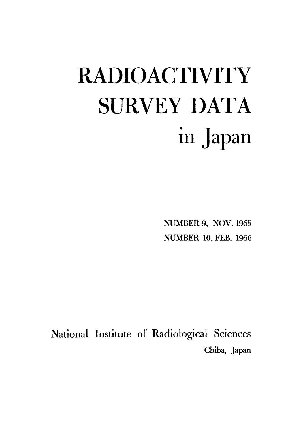# **RADIOACTIVITY SURVEY DATA** in Japan

**NUMBER 9, NOV. 1965 NUMBER 10, FEB. 1966** 

National Institute of Radiological Sciences Chiba, Japan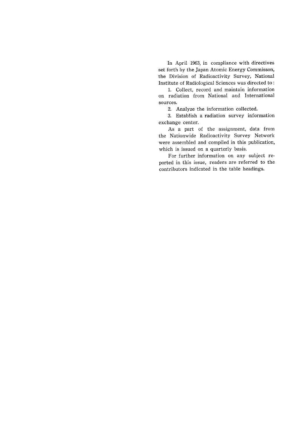In April 1963, in compliance with directives set forth by the Japan Atomic Energy Commisson, the Division of Radioactivity Survey, National Institute of Radiological Sciences was directed to:

1. Collect, record and maintain information on radiation from National and International sources.

2. Analyze the information collected.

3. Establish a radiation survey information exchange center.

As a part of the assignment, data from the Nationwide Radioactivity Survey Network were assembled and compiled in this publication, which is issued on a quarterly basis.

For further information on any subject reported in this issue, readers are referred to the contributors indicated in the table headings.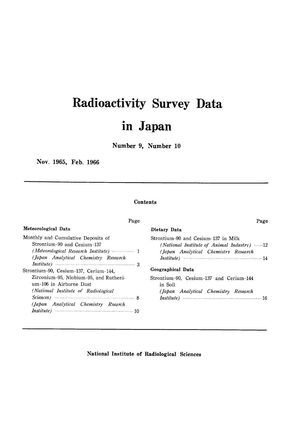# Radioactivity Survey Data in Japan

Number 9, Number 10

Nov. 1965, Feb. 1966

# **Contents**

Page

## Meteorological Data

| Monthly and Cumulative Deposits of                                                                    |
|-------------------------------------------------------------------------------------------------------|
| Strontium-90 and Cesium-137                                                                           |
| (Meteorological Research Institute)  1                                                                |
| (Japan Analytical Chemistry Research                                                                  |
| <i>Institute</i> ) $\cdots$ $\cdots$ $\cdots$ $\cdots$ $\cdots$ $\cdots$ $\cdots$ $\cdots$ $\cdots$ 3 |
| Strontium-90, Cesium-137, Cerium-144,                                                                 |
| Zirconium-95, Niobium-95, and Rutheni-                                                                |
| um-106 in Airborne Dust                                                                               |
| (National Institute of Radiological                                                                   |
| Sciences $\sim$ 8                                                                                     |
| (Japan Analytical Chemistry Rsearch                                                                   |
|                                                                                                       |
|                                                                                                       |

| Page                                                                                                                               |
|------------------------------------------------------------------------------------------------------------------------------------|
| Dietary Data                                                                                                                       |
| Strontium-90 and Cesium-137 in Milk<br>(National Institute of Animal Industry) $\cdots$ 12<br>(Japan Analytical Chemistry Research |
| Geographical Data                                                                                                                  |
| Strontium-90, Cesium-137 and Cerium-144<br>in Soil<br>(Japan Analytical Chemistry Research                                         |

# National Institute of Radiological Sciences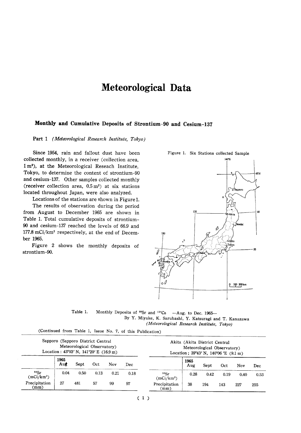# **Meteorological Data**

# Monthly and Cumulative Deposits of Strontium-90 and Cesium-137

Part 1 (Meteorological Research Institute, Tokyo)

Since 1954, rain and fallout dust have been collected monthly, in a receiver (collection area, 1 m<sup>2</sup>), at the Meteorological Reseach Institute, Tokyo, to determine the content of strontium-90 and cesium-137. Other samples collected monthly (receiver collection area,  $0.5 \text{ m}^2$ ) at six stations located throughout Japan, were also analyzed.

Locations of the stations are shown in Figure 1.

The results of observation during the period from August to December 1965 are shown in Table 1. Total cumulative deposits of strontium-90 and cesium-137 reached the levels of 66.9 and 177.8 mCi/km<sup>2</sup> respectively, at the end of December 1965.

Figure 2 shows the monthly deposits of strontium-90.





(Continued from Table 1, Issue No. 7, of this Publication)

|                                | Sapporo (Sapporo District Central<br>Location : $43^{\circ}03'$ N, $141^{\circ}20'$ E (16.9 m) | Meteorological Observatory) |      |            |      |                                  | Akita (Akita District Central<br>Meteorological Observatory)<br>Location; $39^{\circ}43'$ N, $140^{\circ}06'$ E (9.1 m) |      |      |      |      |
|--------------------------------|------------------------------------------------------------------------------------------------|-----------------------------|------|------------|------|----------------------------------|-------------------------------------------------------------------------------------------------------------------------|------|------|------|------|
|                                | 1965<br>Au <i>t</i>                                                                            | Sept                        | Oct  | <b>Nov</b> | Dec. |                                  | 1965<br>Aug                                                                                                             | Sept | Oct  | Nov  | Dec  |
| 90Sr<br>(mCi/km <sup>2</sup> ) | 0.04                                                                                           | 0.50                        | 0.13 | 0.21       | 0.18 | 90Sr<br>$(mCi/km^2)$             | 0.28                                                                                                                    | 0.42 | 0.19 | 0.40 | 0.53 |
| Precipitation<br>(mm)          | 27                                                                                             | 481                         | 57   | 99         | 97   | Precipitation<br>$\textup{(mm)}$ | 38                                                                                                                      | 194  | 143  | 227  | 255  |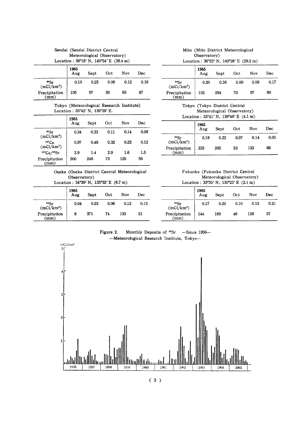| Sendai (Sendai District Central                          |
|----------------------------------------------------------|
| Meteorological Observatory)                              |
| Location: $38^{\circ}16'$ N, $140^{\circ}54'$ E (38.4 m) |

|                                             | 1965<br>Aug | Sept | Oct  | Nov  | Dec  |
|---------------------------------------------|-------------|------|------|------|------|
| $^{90}\text{Sr}$ (mCi/km²)<br>Precipitation | 0.10        | 0.25 | 0.06 | 0.12 | 0.16 |
| (mm)                                        | 105         | 97   | 39   | 65   | 87   |

#### Tokyo (Meteorological Research Institute) Location: 35°42' N, 139°39' E.

|                                    | 1965<br>Aug | Sept | Oct  | Nov  | Dec  |
|------------------------------------|-------------|------|------|------|------|
| 90Sr<br>$(mCi/km^2)$               | 0.34        | 0.33 | 0.11 | 0.14 | 0.08 |
| $137C_S$<br>(mCi/km <sup>2</sup> ) | 0.97        | 0.48 | 0.32 | 0.22 | 0.12 |
| 137Cs/90Sr                         | 2.9         | 1.4  | 2.9  | 1.6  | 1.5  |
| Precipitation<br>(mm)              | 300         | 248  | 73   | 125  | 56   |

# Osaka (Osaka District Central Meteorological Observatory)

Location:  $34°39'$  N,  $135°32'$  E (6.7 m)

|                                                              | 1965<br>Aug | Sept | Oct  | Nov  | Dec  |
|--------------------------------------------------------------|-------------|------|------|------|------|
| $\overset{\mathfrak{so}_{\mathrm{Sr}}}{\textup{(mCi/km^2)}}$ | 0.04        | 0.23 | 0.06 | 0.12 | 0.13 |
| Precipitation<br>(mm)                                        | 8           | 371  | 74   | 133  | 51   |

# Mito (Mito District Meteorological Observatory)

Location:  $36^{\circ}23'$  N,  $140^{\circ}28'$  E (29.2 m)

|                                  | 1965<br>Aug | Sept | Oct  | <b>Nov</b> | Dec  |
|----------------------------------|-------------|------|------|------------|------|
| $\sum_{\rm mCi/km^2}^{\rm 90Sr}$ | 0.20        | 0.38 | 0.09 | 0.09       | 0.17 |
| Precipitation<br>(mm)            | 102         | 294  | 70   | 97         | 90   |

Tokyo (Tokyo District Central Meteorological Observatory) Location:  $35^{\circ}41'$  N,  $139^{\circ}46'$  E (4.1 m)

|                                                      | 1965<br>Aug | Sept | Oct  | Nov  | Dec  |
|------------------------------------------------------|-------------|------|------|------|------|
| $^{90}Sr$<br>(mCi/km <sup>2</sup> )<br>Precipitation | 0.18        | 0.22 | 0.07 | 0.14 | 0.05 |
| (mm)                                                 | 235         | 205  | 53   | 132  | 66   |

Fukuoka (Fukuoka District Central Meteorological Observatory) Location:  $33^{\circ}35'$  N,  $130^{\circ}23'$  E (2.1 m)

|                                                      | 1965<br>Aug | Sept | Oct  | Nov  | Dec  |
|------------------------------------------------------|-------------|------|------|------|------|
| $^{90}Sr$<br>(mCi/km <sup>2</sup> )<br>Precipitation | 0.17        | 0.20 | 0.10 | 0.15 | 0.21 |
| (mm)                                                 | 144         | 189  | 46   | 128  | 57   |

Figure 2. Monthly Deposits of  $^{90}Sr$  -Since 1956--Meteorological Research Institute, Tokyo-



 $(2)$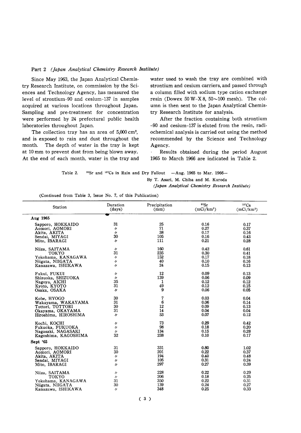#### Part 2 (Japan Analytical Chemistry Research Institute)

Since May 1963, the Japan Analytical Chemistry Research Institute, on commission by the Sciences and Technology Agency, has measured the level of strontium-90 and cesium-137 in samples acquired at various locations throughout Japan. Sampling and pre-treatment for concentration were performed by 24 prefectural public health laboratories throughout Japan.

The collection tray has an area of 5,000 cm<sup>2</sup>, and is exposed to rain and dust throughout the The depth of water in the tray is kept month. at 10 mm to prevent dust from being blown away. At the end of each month, water in the tray and water used to wash the tray are combined with strontium and cesium carriers, and passed through a column filled with sodium type cation exchange resin (Dowex 50 W-X 8,  $50 \sim 100$  mesh). The column is then sent to the Japan Analytical Chemistry Research Institute for analysis.

After the fraction containing both strontium -90 and cesium-137 is eluted from the resin, radiochemical analysis is carried out using the method recommended by the Science and Technology Agency.

Results obtained during the period August 1965 to March 1966 are indicated in Table 2.

Table 2. <sup>90</sup>Sr and <sup>137</sup>Cs in Rain and Dry Fallout -Aug. 1965 to Mar. 1966-

By T. Asari, M. Chiba and M. Kuroda

(Japan Analytical Chemistry Research Institute)

| Station              | Duration<br>(days) | Precipitation<br>(mm) | 90Sr<br>$(mCi/km^2)$ | $137C_S$<br>$(mCi/km^2)$ |
|----------------------|--------------------|-----------------------|----------------------|--------------------------|
| Aug 1965             |                    |                       |                      |                          |
| Sapporo, HOKKAIDO    | 31                 | 25                    | 0.16                 | 0.17                     |
| Aomori, AOMORI       | IJ                 | 71                    | 0.27                 | 0.37                     |
| Akita, AKITA         | $\prime$           | 38                    | 0.17                 | 0.16                     |
| Sendai, MIYAGI       | 30                 | 105                   | 0.16                 | 0.43                     |
| Mito, IBARAGI        | ı,                 | 111                   | 0.21                 | 0.28                     |
| Niiza, SAITAMA       | $\prime$           | 160                   | 0.42                 | 0.61                     |
| <b>TOKYO</b>         | 31                 | 235                   | 0.30                 | 0.41                     |
| Yokohama, KANAGAWA   | "                  | 152                   | 0.17                 | 0.18                     |
| Niigata, NIIGATA     | 1 j                | 40                    | 0.10                 | 0.16                     |
| Kanazawa, ISHIKAWA   | n                  | 24                    | 0.15                 | 0.13                     |
| Fukui, FUKUI         | 11                 | 12                    | 0.09                 | 0.13                     |
| Shizuoka, SHIZUOKA   | 11                 | 139                   | 0.06                 | 0.09                     |
| Nagoya, AICHI        | 35                 | 1                     | 0.12                 | 0.12                     |
| Kyoto, KYOTO         | 31                 | 49                    | 0.12                 | 0.15                     |
| Osaka, OSAKA         | IJ.                | 9                     | 0.06                 | 0.05                     |
| Kobe, HYOGO          | 30                 | 7                     | 0.03                 | 0.04                     |
| Wakayama, WAKAYAMA   | 31                 | 6                     | 0.06                 | 0.14                     |
| Tottori, TOTTORI     | 30                 | 12                    | 0.09                 | 0.13                     |
| Okayama, OKAYAMA     | 31                 | 14                    | 0.04                 | 0.04                     |
| Hiroshima, HIROSHIMA | n                  | 53                    | 0.07                 | 0.12                     |
| Kochi, KOCHI         | $^{\prime\prime}$  | 73                    | 0.29                 | 0.42                     |
| Fukuoka, FUKUOKA     | $\prime$           | 98                    | 0.18                 | 0.20                     |
| Nagasaki, NAGASAKI   | $^{\prime\prime}$  | 134                   | 0.15                 | 0.28                     |
| Kagoshima, KAGOSHIMA | 32                 | 238                   | 0.10                 | 0.17                     |
| Sept '65             |                    |                       |                      |                          |
| Sapporo, HOKKAIDO    | 31                 | 331                   | 0.80                 | 1.02                     |
| Aomori, AOMORI       | 30                 | 201                   | 0.22                 | 0.37                     |
| Akita, AKITA         | n                  | 194                   | 0.40                 | 0.48                     |
| Sendai, MIYAGI       | n                  | 105                   | 0.31                 | 0.24                     |
| Mito, IBARAGI        | $\prime$           | 297                   | 0.27                 | 0.39                     |
| Niiza, SAITAMA       | $^{\prime\prime}$  | 228                   | 0.22                 | 0.29                     |
| <b>TOKYO</b>         | $\prime$           | 206                   | 0.18                 | 0.25                     |
| Yokohama, KANAGAWA   | 31                 | 350                   | 0.22                 | 0.31                     |
| Niigata, NIIGATA     | 30                 | 139                   | 0.24                 | 0.27                     |
| Kanazawa, ISHIKAWA   | $\prime$           | 348                   | 0.25                 | 0.33                     |

(Continued from Table 3, Issue No. 7, of this Publication)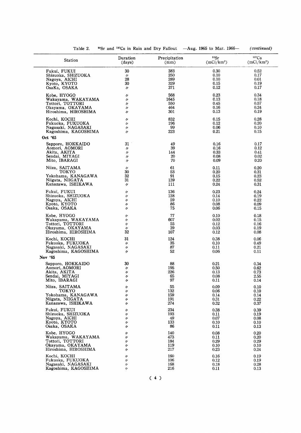| Station                                  | Duration<br>(days) | Precipitation<br>(mm) | 90Sr<br>(mCi/km <sup>2</sup> ) | 137Cs<br>(mCi/km <sup>2</sup> ) |
|------------------------------------------|--------------------|-----------------------|--------------------------------|---------------------------------|
| Fukui, FUKUI                             | 30                 | 383                   | 0.30                           | 0.52                            |
| Shizuoka, SHIZUOKA                       | $^{\prime\prime}$  | 250                   | 0.10                           | 0.17                            |
| Nagoya, AICHI                            | 28                 | 289                   | 0.10                           | 0.01                            |
| Kyoto, KYOTO                             | 30                 | 329                   | 0.15                           | 0.19                            |
| OsaKa, OSAKA                             | 11                 | 371                   | 0.12                           | 0.17                            |
| Kobe, HYOGO                              | 11                 | 568                   | 0.23                           | 0.34                            |
| Wakayama, WAKAYAMA                       | n                  | 1645                  | 0.13                           | 0.18                            |
| Tottori, TOTTORI                         | IJ                 | 550                   | 0.45                           | 0.57                            |
| Okayama, OKAYAMA                         | 11                 | 464                   | 0.16                           | 0.24                            |
| Hiroshima, HIROSHIMA                     | n                  | 301                   | 0.13                           | 0.19                            |
| Kochi, KOCHI                             | n                  | 832                   | 0.15                           | 0.28                            |
| Fukuoka, FUKUOKA                         | n                  | 196                   | 0.12                           | 0.20                            |
| Nagasaki, NAGASAKI                       | "                  | 99                    | 0.06                           | 0.10                            |
| Kagoshima, KAGOSHIMA                     | $^{\prime\prime}$  | 223                   | 0.21                           | 0.15                            |
| Oct '65                                  |                    |                       |                                |                                 |
| Sapporo, HOKKAIDO                        | 31                 | 49                    | 0.16                           | 0.17                            |
| Aomori, AOMORI                           | IJ                 | 39                    | 0.16                           | 0.12                            |
| Akita, AKITA                             | 11                 | 144                   | 0.33                           | 0.41                            |
| Sendai, MIYAGI                           | IJ                 | 20                    | 0.08                           | 0.02                            |
| Mito, IBARAGI                            | $\prime$           | 70                    | 0.09                           | 0.20                            |
| Niiza, SAITAMA                           | n                  | 61                    | 0.11                           | 0.20                            |
| токуо                                    | 30                 | 53                    | 0.20                           | 0.31                            |
| Yokohama, KANAGAWA                       | 32                 | 91                    | 0.15                           | 0.23                            |
| Niigata, NIIGATA                         | 31                 | 139                   | 0.22                           | 0.52                            |
| Kanazawa, ISHIKAWA                       | $^{\prime\prime}$  | 111                   | 0.24                           | 0.31                            |
| Fukui, FUKUI                             | n                  | 136                   | 0.23                           | 0.24                            |
| Shizuoka, SHIZUOKA                       | 11                 | 128                   | 0.14                           | 0.19                            |
| Nagoya, AICHI                            | "                  | 59                    | 0.10                           | 0.22                            |
| Kyoto, KYOTO                             | n                  | 86                    | 0.08                           | 0.09                            |
| Osaka, OSAKA                             | 11                 | 75                    | 0.06                           | 0.15                            |
| Kobe, HYOGO                              | $^{\prime\prime}$  | 77                    | 0.10                           | 0.18                            |
| Wakayama, WAKAYAMA                       | IJ                 | 607                   | 0.02                           | 0.15                            |
| Tottori, TOTTORI                         | n                  | 55                    | 0.12                           | 0.16                            |
| Okayama, OKAYAMA                         | 11                 | 39                    | 0.03                           | 0.19                            |
| Hiroshima, HIROSHIMA                     | 32                 | 107                   | 0.12                           | 0.08                            |
| Kochi, KOCHI                             | 31                 | 124                   | 0.38                           | 0.06                            |
| Fukuoka, FUKUOKA                         | $^{\prime\prime}$  | 35                    | 0.10                           | 0.49                            |
| Nagasaki, NAGASAKI                       | n                  | 87                    | 0.11                           | 0.21                            |
| Kagoshima, KAGOSHIMA                     | 11                 | 52                    | 0.06                           | 0.11                            |
| Nov '65                                  |                    |                       |                                |                                 |
| Sapporo, HOKKAIDO                        | 30                 | 88                    | 0.21                           | 0.34                            |
| Aomori, AOMORI                           | n                  | 195                   | 0.50                           | 0.62                            |
| Akita, AKITA                             | IJ                 | 226                   | 0.13                           | 0.73                            |
| Sendai, MIYAGI                           | n                  | 65                    | 0.08                           | 2.55                            |
| Mito, IBARAGI                            | n                  | 97                    | 0.11                           | 0.14                            |
| Niiza, SAITAMA                           | IJ                 | 55                    | 0.09                           | 0.10                            |
| TOKYO                                    | W                  | 132                   | 0.06                           | 0.10                            |
| Yokohama, KANAGAWA                       | W                  | 159                   | 0.14                           | 0.14                            |
| Niigata, NIIGATA                         | IJ                 | 191                   | 0.31                           | 0.22                            |
| Kanazawa, ISHIKAWA                       | n                  | 274                   | 0.32                           | 0.37                            |
| Fukui, FUKUI                             | n                  | 234                   | 0.38                           | 0.39                            |
| Shizuoka, SHIZUOKA                       | IJ                 | 193                   | 0.11                           | 0.19                            |
| Nagoya, AICHI                            | 11                 | 49                    | 0.07                           | 0.08                            |
| Kyoto, KYOTO                             | n                  | 133                   | 0.10                           | 0.10                            |
| Osaka, OSAKA                             | n                  | 86                    | 0.11                           | 0.13                            |
| Kobe, HYOGO                              | 11                 | 140                   | 0.08                           | 0.20                            |
| Wakayama, WAKAYAMA                       | IJ                 | 473                   | 0.11                           | 0.20                            |
| Tottori, TOTTORI                         | IJ                 | 184                   | 0.29                           | 0.29                            |
| Okayama, OKAYAMA<br>Hiroshima, HIROSHIMA | IJ<br>n            | 119<br>217            | 0.10<br>0.23                   | 0.10<br>0.24                    |
|                                          |                    |                       |                                |                                 |
| Kochi, KOCHI<br>Fukuoka, FUKUOKA         | 11                 | 160<br>106            | 0.16                           | 0.19                            |
|                                          | IJ                 |                       | 0.12                           | 0.19                            |
| Nagasaki, NAGASAKI                       | IJ                 | 168                   | 0.18                           | 0.28                            |

Table 2. <sup>90</sup>Sr and <sup>137</sup>Cs in Rain and Dry Fallout -Aug. 1965 to Mar. 1966- (continued)

 $(4)$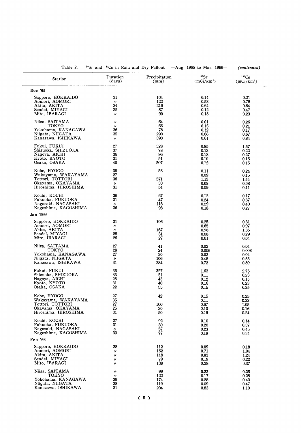| Table 2.                        |                         |                       | <sup>90</sup> Sr and <sup>137</sup> Cs in Rain and Dry Fallout —Aug. 1965 to Mar. 1966— | (continued)                        |
|---------------------------------|-------------------------|-----------------------|-----------------------------------------------------------------------------------------|------------------------------------|
| Station                         | Duration<br>(days)      | Precipitation<br>(mm) | 90Sr<br>$(mCi/km^2)$                                                                    | $137C_S$<br>(mCi/km <sup>2</sup> ) |
| Dec '65                         |                         |                       |                                                                                         |                                    |
| Sapporo, HOKKAIDO               | 31                      | 104                   | 0.14                                                                                    | 0.21                               |
| Aomori, AOMORI                  | $^{\prime\prime}$       | 122                   | 0.53                                                                                    | 0.78                               |
| Akita, AKITA                    | 24                      | 216                   | 0.64                                                                                    | 0.84                               |
| Sendai, MIYAGI                  | 35                      | 87                    | 0.12                                                                                    | 0.47                               |
| Mito, IBARAGI                   | $^{\prime\prime}$       | 90                    | 0.18                                                                                    | 0.23                               |
| Niiza, SAITAMA<br>токто         | 11                      | 64<br>66              | 0.01                                                                                    | 0.26                               |
| Yokohama, KANAGAWA              | $^{\prime\prime}$<br>36 | 78                    | 0.15<br>0.12                                                                            | 0.21<br>0.17                       |
| Niigata, NIIGATA                | 35                      | 290                   | 0.66                                                                                    | 0.67                               |
| Kanazawa, ISHIKAWA              | $^{\prime\prime}$       | 390                   | 0.61                                                                                    | 0.84                               |
| Fukui, FUKUI                    | 27                      | 328                   | 0.95                                                                                    | 1.57                               |
| Shizuoka, SHIZUOKA              | 37                      | 78                    | 0.13                                                                                    | 0.22                               |
| Nagoya, AICHI                   | 36                      | 96                    | 0.18                                                                                    | 0.27                               |
| Kyoto, KYOTO                    | 31                      | 51                    | 0.10                                                                                    | 0.16                               |
| Osaka, OSAKA                    | 40                      | 507                   | 0.12                                                                                    | 0.15                               |
| Kobe, HYOGO                     | 35                      | 58                    | 0.11                                                                                    | 0.24                               |
| Wakayama, WAKAYAMA              | 27                      |                       | 0.09                                                                                    | 0.15                               |
| Tottori, TOTTORI                | 36                      | 571                   | 1.13                                                                                    | 1.44                               |
| Okayama, OKAYAMA                | 11                      | 30                    | 0.08                                                                                    | 0.08                               |
| Hiroshima, HIROSHIMA            | 31                      | 54                    | 0.09                                                                                    | 0.11                               |
| Kochi, KOCHI                    | 36                      | 67                    | 0.12                                                                                    | 0.17                               |
| Fukuoka, FUKUOKA                | 31                      | 47                    | 0.24                                                                                    | 0.37                               |
| Nagasaki, NAGASAKI              | IJ                      | 118                   | 0.29                                                                                    | 0.40                               |
| Kagoshima, KAGOSHIMA            | 36                      | 98                    | 0.18                                                                                    | 0.27                               |
| Jan 1966                        |                         |                       |                                                                                         |                                    |
| Sapporo, HOKKAIDO               | 31                      | 196                   | 0.25                                                                                    | 0.31                               |
| Aomori, AOMORI                  | IJ                      |                       | 0.65                                                                                    | 0.97                               |
| Akita, AKITA                    | n                       | 167                   | 0.98                                                                                    | 1.35                               |
| Sendai, MIYAGI<br>Mito, IBARAGI | 28<br>26                | 31<br>27              | 0.08<br>0.01                                                                            | 0.29<br>0.04                       |
|                                 |                         |                       |                                                                                         |                                    |
| Niiza, SAITAMA<br>токуо         | 27<br>28                | 41<br>24              | 0.03<br>0.006                                                                           | 0.04                               |
| Yokohama, KANAGAWA              | 27                      | 30                    | 0.02                                                                                    | 0.008<br>0.04                      |
| Niigata, NIIGATA                | 11                      | 106                   | 0.48                                                                                    | 0.55                               |
| Kanazawa, ISHIKAWA              | 31                      | 284                   | 0.72                                                                                    | 0.89                               |
| Fukui, FUKUI                    | 35                      | 327                   | 1.63                                                                                    | 2.75                               |
| Shizuoka, SHIZUOKA              | 33                      | 51                    | 0.11                                                                                    | 0.23                               |
| Nagoya, AICHI                   | 28                      | 43                    | 0.12                                                                                    | 0.15                               |
| Kyoto, KYOTO                    | 31                      | 40                    | 0.16                                                                                    | 0.23                               |
| Osaka, OSAKA                    | 22                      | 55                    | 0.15                                                                                    | 0.25                               |
| Kobe, HYOGO                     | 27                      | 42                    | 0.15                                                                                    | 0.25                               |
| Wakayama, WAKAYAMA              | 35                      |                       | 0.11                                                                                    | 0.22                               |
| Tottori, TOTTORI                | 27                      | 100                   | 0.67                                                                                    | 1.05                               |
| Okayama, OKAYAMA                | 25                      | 30                    | 0.13                                                                                    | 0.16                               |
| Hiroshima, HIROSHIMA            | 31                      | 50                    | 0.19                                                                                    | 0.24                               |
| Kochi, KOCHI                    | 27                      | 92                    | 0.10                                                                                    | 0.14                               |
| Fukuoka, FUKUOKA                | 31                      | 30                    | 0.20                                                                                    | 0.37                               |
| Nagasaki, NAGASAKI              | n                       | 57                    | 0.23                                                                                    | 0.45                               |
| Kagoshima, KAGOSHIMA            | 33                      | 77                    | 0.19                                                                                    | 0.34                               |
| Feb '66                         |                         |                       |                                                                                         |                                    |
| Sapporo, HOKKAIDO               | 28                      | 112                   | 0.09                                                                                    | 0.18                               |
| Aomori, AOMORI                  | n                       | 152                   | 0.71                                                                                    | 1.04                               |
| Akita, AKITA                    | n                       | 118                   | 0.83                                                                                    | 1.24                               |
| Sendai, MIYAGI                  | IJ                      | 79                    | 0.19                                                                                    | 0.22                               |
| Mito, IBARAGI                   | n                       | 138                   | 0.28                                                                                    | 0.37                               |
| Niiza, SAITAMA                  | n                       | 99                    | 0.22                                                                                    | 0.25                               |
| TOKYO                           | $\prime\prime$          | 122                   | 0.17                                                                                    | 0.28                               |
| Yokohama, KANAGAWA              | 29                      | 174                   | 0.28                                                                                    | 0.43                               |
| Niigata, NIIGATA                | 28                      | 119                   | 0.09                                                                                    | 0.47                               |
| Kanazawa, ISHIKAWA              | 31                      | 204                   | 0.83                                                                                    | 1.10                               |

# Table 2.  $\frac{90}{5}$  r and  $\frac{137}{5}$  in Rain and Drv Fallout  $-A$ ug. 1965 to Mar. 1966 (continued)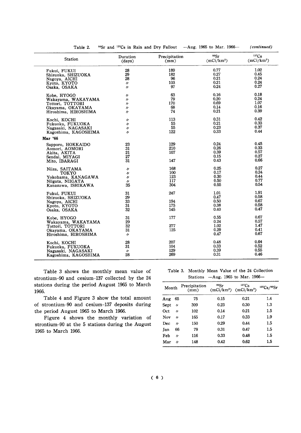| 1.02<br>0.77<br>28<br>189<br>Fukui, FUKUI<br>0.27<br>0.45<br>29<br>182<br>Shizuoka, SHIZUOKA<br>0.21<br>0.24<br>28<br>96<br>Nagoya, AICHI<br>0.21<br>0.24<br>103<br>$\prime$<br>Kyoto, KYOTO<br>0.27<br>0.24<br>97<br>Osaka, OSAKA<br>$\prime$<br>0.18<br>63<br>0.16<br>Kobe, HYOGO<br>n<br>0.24<br>79<br>0.20<br>Wakayama, WAKAYAMA<br>"<br>1.07<br>0.69<br>170<br>Tottori, TOTTORI<br>"<br>0.16<br>0.14<br>68<br>Okayama, OKAYAMA<br>$\prime$<br>0.39<br>0.21<br>74<br>Hiroshima, HIROSHIMA<br>"<br>0.42<br>0.31<br>113<br>Kochi, KOCHI<br>"<br>0.33<br>0.21<br>55<br>Fukuoka, FUKUOKA<br>$\prime$<br>0.37<br>0.23<br>55<br>Nagasaki, NAGASAKI<br>11<br>0.44<br>0.33<br>122<br>Kagoshima, KAGOSHIMA<br>n<br>Mar '66<br>0.24<br>0.45<br>129<br>23<br>Sapporo, HOKKAIDO<br>0.33<br>0.26<br>210<br>31<br>Aomori, AOMORI<br>0.39<br>0.57<br>21<br>107<br>Akita, AKITA<br>0.27<br>0.15<br>27<br>Sendai, MIYAGI<br>0.66<br>0.43<br>31<br>147<br>Mito, IBARAGI<br>0.27<br>0.25<br>168<br>Niiza, SAITAMA<br>n<br>0.24<br>0.17<br>100<br>TOKYO<br>n<br>0.44<br>0.30<br>123<br>Yokohama, KANAGAWA<br>n<br>0.77<br>0.50<br>117<br>Niigata, NIIGATA<br>n<br>0.54<br>0.55<br>35<br>304<br>Kanazawa, ISHIKAWA<br>1.91<br>1.01<br>247<br>31<br>Fukui, FUKUI<br>0.58<br>0.47<br>29<br>Shizuoka, SHIZUOKA<br>0.67<br>33<br>0.50<br>194<br>Nagoya, AICHI<br>0.58<br>0.38<br>31<br>175<br>Kyoto, KYOTO<br>0.47<br>32<br>0.40<br>145<br>Osaka, OSAKA<br>0.67<br>0.55<br>177<br>31<br>Kobe, HYOGO<br>0.57<br>0.24<br>29<br>Wakayama, WAKAYAMA<br>1.47<br>1.02<br>277<br>32<br>Tottori, TOTTORI<br>0.29<br>0.41<br>31<br>125<br>Okayama, OKAYAMA<br>0.67<br>0.47<br>Hiroshima, HIROSHIMA<br>$\prime$<br>0.64<br>207<br>0.48<br>28<br>Kochi, KOCHI<br>0.33<br>0.52<br>104<br>31<br>Fukuoka, FUKUOKA<br>0.39<br>0.55<br>129<br>$^{\prime\prime}$<br>Nagasaki, NAGASAKI<br>0.46<br>269<br>0.31<br>28<br>Kagoshima, KAGOSHIMA | <b>Station</b> | Duration<br>(days) | Precipitation<br>(mm) | 90Sr<br>$(mCi/km^2)$ | $137C_S$<br>$(mCi/km^2)$ |
|-------------------------------------------------------------------------------------------------------------------------------------------------------------------------------------------------------------------------------------------------------------------------------------------------------------------------------------------------------------------------------------------------------------------------------------------------------------------------------------------------------------------------------------------------------------------------------------------------------------------------------------------------------------------------------------------------------------------------------------------------------------------------------------------------------------------------------------------------------------------------------------------------------------------------------------------------------------------------------------------------------------------------------------------------------------------------------------------------------------------------------------------------------------------------------------------------------------------------------------------------------------------------------------------------------------------------------------------------------------------------------------------------------------------------------------------------------------------------------------------------------------------------------------------------------------------------------------------------------------------------------------------------------------------------------------------------------------------------------------------------------------------------------------------------------------------------------------------------------------------------------------------------------|----------------|--------------------|-----------------------|----------------------|--------------------------|
|                                                                                                                                                                                                                                                                                                                                                                                                                                                                                                                                                                                                                                                                                                                                                                                                                                                                                                                                                                                                                                                                                                                                                                                                                                                                                                                                                                                                                                                                                                                                                                                                                                                                                                                                                                                                                                                                                                       |                |                    |                       |                      |                          |
|                                                                                                                                                                                                                                                                                                                                                                                                                                                                                                                                                                                                                                                                                                                                                                                                                                                                                                                                                                                                                                                                                                                                                                                                                                                                                                                                                                                                                                                                                                                                                                                                                                                                                                                                                                                                                                                                                                       |                |                    |                       |                      |                          |
|                                                                                                                                                                                                                                                                                                                                                                                                                                                                                                                                                                                                                                                                                                                                                                                                                                                                                                                                                                                                                                                                                                                                                                                                                                                                                                                                                                                                                                                                                                                                                                                                                                                                                                                                                                                                                                                                                                       |                |                    |                       |                      |                          |
|                                                                                                                                                                                                                                                                                                                                                                                                                                                                                                                                                                                                                                                                                                                                                                                                                                                                                                                                                                                                                                                                                                                                                                                                                                                                                                                                                                                                                                                                                                                                                                                                                                                                                                                                                                                                                                                                                                       |                |                    |                       |                      |                          |
|                                                                                                                                                                                                                                                                                                                                                                                                                                                                                                                                                                                                                                                                                                                                                                                                                                                                                                                                                                                                                                                                                                                                                                                                                                                                                                                                                                                                                                                                                                                                                                                                                                                                                                                                                                                                                                                                                                       |                |                    |                       |                      |                          |
|                                                                                                                                                                                                                                                                                                                                                                                                                                                                                                                                                                                                                                                                                                                                                                                                                                                                                                                                                                                                                                                                                                                                                                                                                                                                                                                                                                                                                                                                                                                                                                                                                                                                                                                                                                                                                                                                                                       |                |                    |                       |                      |                          |
|                                                                                                                                                                                                                                                                                                                                                                                                                                                                                                                                                                                                                                                                                                                                                                                                                                                                                                                                                                                                                                                                                                                                                                                                                                                                                                                                                                                                                                                                                                                                                                                                                                                                                                                                                                                                                                                                                                       |                |                    |                       |                      |                          |
|                                                                                                                                                                                                                                                                                                                                                                                                                                                                                                                                                                                                                                                                                                                                                                                                                                                                                                                                                                                                                                                                                                                                                                                                                                                                                                                                                                                                                                                                                                                                                                                                                                                                                                                                                                                                                                                                                                       |                |                    |                       |                      |                          |
|                                                                                                                                                                                                                                                                                                                                                                                                                                                                                                                                                                                                                                                                                                                                                                                                                                                                                                                                                                                                                                                                                                                                                                                                                                                                                                                                                                                                                                                                                                                                                                                                                                                                                                                                                                                                                                                                                                       |                |                    |                       |                      |                          |
|                                                                                                                                                                                                                                                                                                                                                                                                                                                                                                                                                                                                                                                                                                                                                                                                                                                                                                                                                                                                                                                                                                                                                                                                                                                                                                                                                                                                                                                                                                                                                                                                                                                                                                                                                                                                                                                                                                       |                |                    |                       |                      |                          |
|                                                                                                                                                                                                                                                                                                                                                                                                                                                                                                                                                                                                                                                                                                                                                                                                                                                                                                                                                                                                                                                                                                                                                                                                                                                                                                                                                                                                                                                                                                                                                                                                                                                                                                                                                                                                                                                                                                       |                |                    |                       |                      |                          |
|                                                                                                                                                                                                                                                                                                                                                                                                                                                                                                                                                                                                                                                                                                                                                                                                                                                                                                                                                                                                                                                                                                                                                                                                                                                                                                                                                                                                                                                                                                                                                                                                                                                                                                                                                                                                                                                                                                       |                |                    |                       |                      |                          |
|                                                                                                                                                                                                                                                                                                                                                                                                                                                                                                                                                                                                                                                                                                                                                                                                                                                                                                                                                                                                                                                                                                                                                                                                                                                                                                                                                                                                                                                                                                                                                                                                                                                                                                                                                                                                                                                                                                       |                |                    |                       |                      |                          |
|                                                                                                                                                                                                                                                                                                                                                                                                                                                                                                                                                                                                                                                                                                                                                                                                                                                                                                                                                                                                                                                                                                                                                                                                                                                                                                                                                                                                                                                                                                                                                                                                                                                                                                                                                                                                                                                                                                       |                |                    |                       |                      |                          |
|                                                                                                                                                                                                                                                                                                                                                                                                                                                                                                                                                                                                                                                                                                                                                                                                                                                                                                                                                                                                                                                                                                                                                                                                                                                                                                                                                                                                                                                                                                                                                                                                                                                                                                                                                                                                                                                                                                       |                |                    |                       |                      |                          |
|                                                                                                                                                                                                                                                                                                                                                                                                                                                                                                                                                                                                                                                                                                                                                                                                                                                                                                                                                                                                                                                                                                                                                                                                                                                                                                                                                                                                                                                                                                                                                                                                                                                                                                                                                                                                                                                                                                       |                |                    |                       |                      |                          |
|                                                                                                                                                                                                                                                                                                                                                                                                                                                                                                                                                                                                                                                                                                                                                                                                                                                                                                                                                                                                                                                                                                                                                                                                                                                                                                                                                                                                                                                                                                                                                                                                                                                                                                                                                                                                                                                                                                       |                |                    |                       |                      |                          |
|                                                                                                                                                                                                                                                                                                                                                                                                                                                                                                                                                                                                                                                                                                                                                                                                                                                                                                                                                                                                                                                                                                                                                                                                                                                                                                                                                                                                                                                                                                                                                                                                                                                                                                                                                                                                                                                                                                       |                |                    |                       |                      |                          |
|                                                                                                                                                                                                                                                                                                                                                                                                                                                                                                                                                                                                                                                                                                                                                                                                                                                                                                                                                                                                                                                                                                                                                                                                                                                                                                                                                                                                                                                                                                                                                                                                                                                                                                                                                                                                                                                                                                       |                |                    |                       |                      |                          |
|                                                                                                                                                                                                                                                                                                                                                                                                                                                                                                                                                                                                                                                                                                                                                                                                                                                                                                                                                                                                                                                                                                                                                                                                                                                                                                                                                                                                                                                                                                                                                                                                                                                                                                                                                                                                                                                                                                       |                |                    |                       |                      |                          |
|                                                                                                                                                                                                                                                                                                                                                                                                                                                                                                                                                                                                                                                                                                                                                                                                                                                                                                                                                                                                                                                                                                                                                                                                                                                                                                                                                                                                                                                                                                                                                                                                                                                                                                                                                                                                                                                                                                       |                |                    |                       |                      |                          |
|                                                                                                                                                                                                                                                                                                                                                                                                                                                                                                                                                                                                                                                                                                                                                                                                                                                                                                                                                                                                                                                                                                                                                                                                                                                                                                                                                                                                                                                                                                                                                                                                                                                                                                                                                                                                                                                                                                       |                |                    |                       |                      |                          |
|                                                                                                                                                                                                                                                                                                                                                                                                                                                                                                                                                                                                                                                                                                                                                                                                                                                                                                                                                                                                                                                                                                                                                                                                                                                                                                                                                                                                                                                                                                                                                                                                                                                                                                                                                                                                                                                                                                       |                |                    |                       |                      |                          |
|                                                                                                                                                                                                                                                                                                                                                                                                                                                                                                                                                                                                                                                                                                                                                                                                                                                                                                                                                                                                                                                                                                                                                                                                                                                                                                                                                                                                                                                                                                                                                                                                                                                                                                                                                                                                                                                                                                       |                |                    |                       |                      |                          |
|                                                                                                                                                                                                                                                                                                                                                                                                                                                                                                                                                                                                                                                                                                                                                                                                                                                                                                                                                                                                                                                                                                                                                                                                                                                                                                                                                                                                                                                                                                                                                                                                                                                                                                                                                                                                                                                                                                       |                |                    |                       |                      |                          |
|                                                                                                                                                                                                                                                                                                                                                                                                                                                                                                                                                                                                                                                                                                                                                                                                                                                                                                                                                                                                                                                                                                                                                                                                                                                                                                                                                                                                                                                                                                                                                                                                                                                                                                                                                                                                                                                                                                       |                |                    |                       |                      |                          |
|                                                                                                                                                                                                                                                                                                                                                                                                                                                                                                                                                                                                                                                                                                                                                                                                                                                                                                                                                                                                                                                                                                                                                                                                                                                                                                                                                                                                                                                                                                                                                                                                                                                                                                                                                                                                                                                                                                       |                |                    |                       |                      |                          |
|                                                                                                                                                                                                                                                                                                                                                                                                                                                                                                                                                                                                                                                                                                                                                                                                                                                                                                                                                                                                                                                                                                                                                                                                                                                                                                                                                                                                                                                                                                                                                                                                                                                                                                                                                                                                                                                                                                       |                |                    |                       |                      |                          |
|                                                                                                                                                                                                                                                                                                                                                                                                                                                                                                                                                                                                                                                                                                                                                                                                                                                                                                                                                                                                                                                                                                                                                                                                                                                                                                                                                                                                                                                                                                                                                                                                                                                                                                                                                                                                                                                                                                       |                |                    |                       |                      |                          |
|                                                                                                                                                                                                                                                                                                                                                                                                                                                                                                                                                                                                                                                                                                                                                                                                                                                                                                                                                                                                                                                                                                                                                                                                                                                                                                                                                                                                                                                                                                                                                                                                                                                                                                                                                                                                                                                                                                       |                |                    |                       |                      |                          |
|                                                                                                                                                                                                                                                                                                                                                                                                                                                                                                                                                                                                                                                                                                                                                                                                                                                                                                                                                                                                                                                                                                                                                                                                                                                                                                                                                                                                                                                                                                                                                                                                                                                                                                                                                                                                                                                                                                       |                |                    |                       |                      |                          |
|                                                                                                                                                                                                                                                                                                                                                                                                                                                                                                                                                                                                                                                                                                                                                                                                                                                                                                                                                                                                                                                                                                                                                                                                                                                                                                                                                                                                                                                                                                                                                                                                                                                                                                                                                                                                                                                                                                       |                |                    |                       |                      |                          |
|                                                                                                                                                                                                                                                                                                                                                                                                                                                                                                                                                                                                                                                                                                                                                                                                                                                                                                                                                                                                                                                                                                                                                                                                                                                                                                                                                                                                                                                                                                                                                                                                                                                                                                                                                                                                                                                                                                       |                |                    |                       |                      |                          |
|                                                                                                                                                                                                                                                                                                                                                                                                                                                                                                                                                                                                                                                                                                                                                                                                                                                                                                                                                                                                                                                                                                                                                                                                                                                                                                                                                                                                                                                                                                                                                                                                                                                                                                                                                                                                                                                                                                       |                |                    |                       |                      |                          |
|                                                                                                                                                                                                                                                                                                                                                                                                                                                                                                                                                                                                                                                                                                                                                                                                                                                                                                                                                                                                                                                                                                                                                                                                                                                                                                                                                                                                                                                                                                                                                                                                                                                                                                                                                                                                                                                                                                       |                |                    |                       |                      |                          |
|                                                                                                                                                                                                                                                                                                                                                                                                                                                                                                                                                                                                                                                                                                                                                                                                                                                                                                                                                                                                                                                                                                                                                                                                                                                                                                                                                                                                                                                                                                                                                                                                                                                                                                                                                                                                                                                                                                       |                |                    |                       |                      |                          |
|                                                                                                                                                                                                                                                                                                                                                                                                                                                                                                                                                                                                                                                                                                                                                                                                                                                                                                                                                                                                                                                                                                                                                                                                                                                                                                                                                                                                                                                                                                                                                                                                                                                                                                                                                                                                                                                                                                       |                |                    |                       |                      |                          |
|                                                                                                                                                                                                                                                                                                                                                                                                                                                                                                                                                                                                                                                                                                                                                                                                                                                                                                                                                                                                                                                                                                                                                                                                                                                                                                                                                                                                                                                                                                                                                                                                                                                                                                                                                                                                                                                                                                       |                |                    |                       |                      |                          |
|                                                                                                                                                                                                                                                                                                                                                                                                                                                                                                                                                                                                                                                                                                                                                                                                                                                                                                                                                                                                                                                                                                                                                                                                                                                                                                                                                                                                                                                                                                                                                                                                                                                                                                                                                                                                                                                                                                       |                |                    |                       |                      |                          |
|                                                                                                                                                                                                                                                                                                                                                                                                                                                                                                                                                                                                                                                                                                                                                                                                                                                                                                                                                                                                                                                                                                                                                                                                                                                                                                                                                                                                                                                                                                                                                                                                                                                                                                                                                                                                                                                                                                       |                |                    |                       |                      |                          |
|                                                                                                                                                                                                                                                                                                                                                                                                                                                                                                                                                                                                                                                                                                                                                                                                                                                                                                                                                                                                                                                                                                                                                                                                                                                                                                                                                                                                                                                                                                                                                                                                                                                                                                                                                                                                                                                                                                       |                |                    |                       |                      |                          |
|                                                                                                                                                                                                                                                                                                                                                                                                                                                                                                                                                                                                                                                                                                                                                                                                                                                                                                                                                                                                                                                                                                                                                                                                                                                                                                                                                                                                                                                                                                                                                                                                                                                                                                                                                                                                                                                                                                       |                |                    |                       |                      |                          |
|                                                                                                                                                                                                                                                                                                                                                                                                                                                                                                                                                                                                                                                                                                                                                                                                                                                                                                                                                                                                                                                                                                                                                                                                                                                                                                                                                                                                                                                                                                                                                                                                                                                                                                                                                                                                                                                                                                       |                |                    |                       |                      |                          |
|                                                                                                                                                                                                                                                                                                                                                                                                                                                                                                                                                                                                                                                                                                                                                                                                                                                                                                                                                                                                                                                                                                                                                                                                                                                                                                                                                                                                                                                                                                                                                                                                                                                                                                                                                                                                                                                                                                       |                |                    |                       |                      |                          |

Table 2. <sup>90</sup>Sr and <sup>137</sup>Cs in Rain and Dry Fallout -Aug. 1965 to Mar. 1966-

Table 3 shows the monthly mean value of strontium-90 and cesium-137 collected by the 24 stations during the period August 1965 to March 1966.

Table 4 and Figure 3 show the total amount of strontium-90 and cesium-137 deposits during the period August 1965 to March 1966.

Figure 4 shows the monthly variation of strontium-90 at the 5 stations during the August 1965 to March 1966.

Table 3. Monthly Mean Value of the 24 Collection Stations -Aug. 1965 to Mar. 1966-

(continued)

| Month |                   | Precipitation<br>(mm) | 90Sr<br>(mCi/km <sup>2</sup> ) | $^{137}Cs$<br>(mCi/km <sup>2</sup> ) | 137Cs/90Sr |
|-------|-------------------|-----------------------|--------------------------------|--------------------------------------|------------|
| Aug   | 65                | 75                    | 0.15                           | 0.21                                 | 1.4        |
| Sept  | $^{\prime\prime}$ | 309                   | 0.23                           | 0.30                                 | 1.3        |
| Oct   | "                 | 102                   | 0.14                           | 0.21                                 | 1.5        |
| Nov   | 11                | 165                   | 0.17                           | 0.33                                 | 1.9        |
| Dec   | IJ                | 150                   | 0.29                           | 0.44                                 | 1.5        |
| Jan   | 66                | 79                    | 0.31                           | 0.47                                 | 1.5        |
| Feb   | "                 | 116                   | 0.33                           | 0.48                                 | 1.5        |
| Mar   | 11                | 148                   | 0.42                           | 0.62                                 | 1.5        |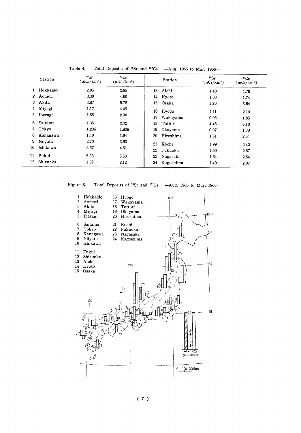|                       | <b>Station</b>      | 90Sr<br>$(mCi/km^2)$ | 137Cs<br>$(mCi/km^2)$ |          | Station           | 90Sr<br>(mCi/km <sup>2</sup> ) | $137C_S$<br>$(mCi/km^2)$ |
|-----------------------|---------------------|----------------------|-----------------------|----------|-------------------|--------------------------------|--------------------------|
| 1.                    | Hokkaido            | 2.05                 | 2.85                  |          | 13 Aichi          | 1.40                           | 1.76                     |
| $\mathbf{2}^{\prime}$ | Aomori              | 3.30                 | 4.60                  |          | 14 Kyoto          | 1.30                           | 1.74                     |
| 3.                    | Akita               | 3.87                 | 5.78                  | 15       | Osaka             | 1.26                           | 3.64                     |
| 4<br>5                | Miyagi<br>Ibaragi   | 1.17<br>1.58         | 4.49<br>2.30          | 16<br>17 | Hyogo<br>Wakayama | 1.41<br>0.96                   | 2.10                     |
| 6.                    | Saitama             | 1.35                 | 2.02                  | 18       | Tottori           | 4.46                           | 1.85<br>6.18             |
| 7                     | Tokyo               | 1.236                | 1.808                 | 19       | Okayama           | 0.97                           | 1.38                     |
| 8                     | Kanagawa            | 1.40                 | 1.94                  | 20       | Hiroshima         | 1.51                           | 2.04                     |
| 9<br>10               | Niigata<br>Ishikawa | 2.70<br>3.67         | 3.63<br>4.51          | 21<br>22 | Kochi<br>Fukuoka  | 1.99<br>1.50                   | 2.42<br>2.67             |
| 11                    | Fukui               | 5.36                 | 8.53                  | 23       | Nagasaki          | 1.64                           | 2.64                     |
| 12                    | Shizuoka            | 1.39                 | 2.12                  | 24       | Kagoshima         | 1.49                           | 2.07                     |

Table 4. Total Deposits of <sup>90</sup>Sr and <sup>137</sup>Cs --Aug. 1965 to Mar. 1966-



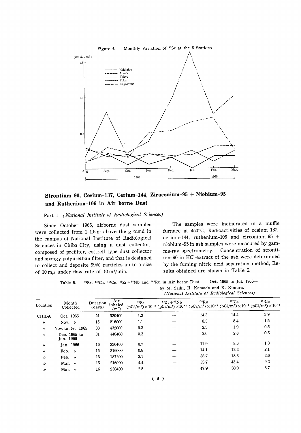

# Strontium-90, Cesium-137, Cerium-144, Ziruconium-95 + Niobium-95 and Ruthenium-106 in Air borne Dust

# Part 1 (National Institute of Radiological Sciences)

Since October 1965, airborne dust samples were collected from 1-1.5 m above the ground in the campus of National Institute of Radiological Sciences in Chiba City, using a dust collector, composed of prefilter, cottrell type dust collector and spongy polyurethan filter, and that is designed to collect and deposite 99% particles up to a size of 10 m $\mu$  under flow rate of 10 m<sup>3</sup>/min.

The samples were incinerated in a muffle furnace at 450°C, Radioactivities of cesium-137, cerium-144, ruthenium-106 and zirconium-95 + niobium-95 in ash samples were measured by gamma-ray spectrometry. Concentration of strontium-90 in HCl-extract of the ash were determined by the fuming nitric acid separation method, Results obtained are shown in Table 5.

90Sr, 137Cs, 144Ce, 95Zr+95Nb and 106Ru in Air borne Dust -Oct. 1965 to Jul. 1966-Table 5. by M. Saiki, H. Kamada and K. Kimura.

|  |  |  |  | (National Instituta of Radiological Sciences) |  |
|--|--|--|--|-----------------------------------------------|--|
|--|--|--|--|-----------------------------------------------|--|

| Location          | Month<br>Collected        | Duration<br>(days) | Air<br>inhaled<br>$(m^3)$ | 90Sr | $95Zr + 95Nb$ | 106Ru<br>$(pCi/m^3) \times 10^{-3} (pCi/m^3) \times 10^{-3} (pCi/m^3) \times 10^{-3} (pCi/m^3) \times 10^{-3} (pCi/m^3) \times 10^{-3}$ | 137Cs | 144Ce |
|-------------------|---------------------------|--------------------|---------------------------|------|---------------|-----------------------------------------------------------------------------------------------------------------------------------------|-------|-------|
| <b>CHIBA</b>      | Oct. 1965                 | 21                 | 320400                    | 1.2  |               | 14.3                                                                                                                                    | 14.4  | 3.9   |
| $^{\prime\prime}$ | Nov. $\nu$                | 15                 | 216000                    | 1.1  |               | 8.3                                                                                                                                     | 8.4   | 1.5   |
| $\prime\prime$    | Nov. to Dec. 1965         | 30                 | 432000                    | 0.3  |               | 2.3                                                                                                                                     | 1.9   | 0.5   |
| $^{\prime\prime}$ | Dec. 1965 to<br>Jan. 1966 | 31                 | 446400                    | 0.3  |               | 2.0                                                                                                                                     | 2.8   | 0.5   |
| $^{\prime\prime}$ | Jan. 1966                 | 16                 | 230400                    | 0.7  |               | 11.9                                                                                                                                    | 8.6   | 1.3   |
| $\prime$          | Feb. $\nu$                | 15                 | 216000                    | 0.8  |               | 14.1                                                                                                                                    | 12.2  | 2.1   |
| W                 | Feb. $\nu$                | 13                 | 187200                    | 2.1  |               | 38.7                                                                                                                                    | 18.3  | 2.6   |
| $\prime$          | Mar. $\nu$                | 15                 | 216000                    | 4.4  |               | 55.7                                                                                                                                    | 43.4  | 9.2   |
| $\prime$          | Mar. $\nu$                | 16                 | 230400                    | 2.5  |               | 47.9                                                                                                                                    | 30.0  | 3.7   |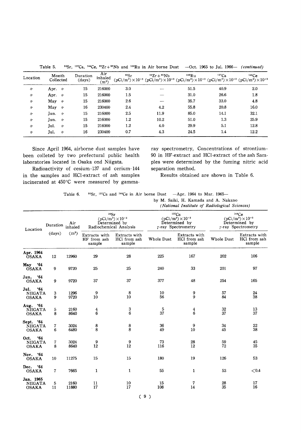| Location          | Month<br>Collected        | Duration<br>(days) | Air<br>inhaled<br>$(m^3)$ | 90Sr    | $95Zr + 95Nb$ | 106Ru<br>$(pCi/m^3) \times 10^{-3} (pCi/m^3) \times 10^{-3} (pCi/m^3) \times 10^{-3} (pCi/m^3) \times 10^{-3} (pCi/m^3) \times 10^{-3}$ | $137C_S$ | 144Ce |
|-------------------|---------------------------|--------------------|---------------------------|---------|---------------|-----------------------------------------------------------------------------------------------------------------------------------------|----------|-------|
| 11                | Apr. $\nu$                | 15                 | 216000                    | 3.0     | --            | 51.5                                                                                                                                    | 40.9     | 2.0   |
| $\prime$          | Apr. $\nu$                | 15                 | 216000                    | 1.5     |               | 31.0                                                                                                                                    | 26.6     | 1.8   |
| $^{\prime\prime}$ | May $\nu$                 | 15                 | 216000                    | 2.6     |               | 35.7                                                                                                                                    | 33.0     | 4.8   |
| $\prime$          | May $\nu$                 | 16                 | 230400                    | 2.4     | 4.2           | 55.8                                                                                                                                    | 20.8     | 16.0  |
| $\prime$          | Jun. $\nu$                | 15                 | 216000                    | 2.5     | 11.9          | 85.0                                                                                                                                    | 14.1     | 32.1  |
| $^{\prime\prime}$ | Jun.<br>$^{\prime\prime}$ | 15                 | 216000                    | $1.2\,$ | 10.2          | 51.0                                                                                                                                    | 1.3      | 25.9  |
| $^{\prime\prime}$ | Jul.<br>$^{\prime\prime}$ | 15                 | 216000                    | 1.2     | 4.0           | 29.9                                                                                                                                    | 5.1      | 12.8  |
| $^{\prime\prime}$ | Jul.<br>$^{\prime\prime}$ | 16                 | 230400                    | 0.7     | 4.3           | 24.5                                                                                                                                    | 1.4      | 12.2  |

Table 5. <sup>90</sup>Sr, <sup>137</sup>Cs, <sup>144</sup>Ce, <sup>95</sup>Zr + <sup>95</sup>Nb and <sup>106</sup>Ru in Air borne Dust --Oct. 1965 to Jul. 1966- (continued)

Since April 1964, airborne dust samples have been colleted by two prefectural public health laboratories located in Osaka ond Niigata.

Radioactivity of cesium-137 and cerium-144 in the samples and HCI-extract of ash samples incinerated at 450°C were measured by gammaray spectrometry, Concentrations of strontium-90 in HF-extract and HCl-extract of the ash Samples were determined by the fuming nitric acid separation method.

Results obtained are shown in Table 6.

| Table 6. $\degree$ °Sr, <sup>137</sup> Cs and <sup>144</sup> Ce in Air borne Dust —Apr. 1964 to Mar. 1965— |  |  |  |  |  |  |
|------------------------------------------------------------------------------------------------------------|--|--|--|--|--|--|
|                                                                                                            |  |  |  |  |  |  |

by M. Saiki, H. Kamada and A. Nakano

|                                               |         |                         |                                        |                                               |            | (National Institute of Radiological Sciences)                                      |                                                                                    |                                         |
|-----------------------------------------------|---------|-------------------------|----------------------------------------|-----------------------------------------------|------------|------------------------------------------------------------------------------------|------------------------------------------------------------------------------------|-----------------------------------------|
| Location                                      |         | Air<br>Duration inhaled | 90Sr<br>Radiochemical Analysis         | $(pCi/m^{3}) \times 10^{-3}$<br>Determined by |            | 137Cs<br>$(pCi/m^{3})\times10^{-3}$<br>Determined by<br>$\gamma$ -ray Spectrometry | 144Ce<br>$(pCi/m^3) \times 10^{-3}$<br>Determined by<br>$\gamma$ -ray Spectrometry |                                         |
|                                               | (days)  | $(m^3)$                 | Extracts with<br>HF from ash<br>sample | Extracts with<br>HCl from ash<br>sample       | Whole Dust | Extracts with<br>HCl from ash<br>sample                                            | Whole Dust                                                                         | Extracts with<br>HCl from ash<br>sample |
| Apr. 1964<br><b>OSAKA</b>                     | 12      | 12960                   | 29                                     | 28                                            | 225        | 167                                                                                | 202                                                                                | 106                                     |
| May '64<br><b>OSAKA</b>                       | 9       | 9720                    | 25                                     | 25                                            | 240        | 33                                                                                 | 201                                                                                | 97                                      |
| '64<br>Jun.<br><b>OSAKA</b>                   | 9       | 9720                    | 37                                     | 37                                            | 377        | 48                                                                                 | 254                                                                                | 165                                     |
| .64<br>Jul.<br><b>NIIGATA</b><br><b>OSAKA</b> | 3<br>9  | 1296<br>9720            | 9<br>10                                | 8<br>10                                       | 10<br>56   | 9<br>9                                                                             | 57<br>84                                                                           | 24<br>38                                |
| Aug. '64<br>NIIGATA<br><b>OSAKA</b>           | 5<br>8  | 2160<br>8640            | $\frac{4}{6}$                          | $\frac{3}{6}$                                 | 5<br>37    | $\frac{4}{6}$                                                                      | 32<br>37                                                                           | 13<br>37                                |
| Sept. '64<br><b>NIIGATA</b><br><b>OSAKA</b>   | 7<br>6  | 3024<br>6480            | $\begin{array}{c} 8 \\ 8 \end{array}$  | 8<br>8                                        | 36<br>49   | 9<br>10                                                                            | 34<br>45                                                                           | $22\,$<br>38                            |
| .64<br>Oct.<br><b>NIIGATA</b><br><b>OSAKA</b> | 7<br>8  | 3024<br>8640            | 9<br>12                                | 9<br>12                                       | 73<br>116  | 28<br>12                                                                           | 59<br>72                                                                           | 45<br>35                                |
| Nov. '64<br><b>OSAKA</b>                      | 10      | 11275                   | 15                                     | 15                                            | 180        | 19                                                                                 | 126                                                                                | 53                                      |
| '64<br>Dec.<br><b>OSAKA</b>                   | 7       | 7665                    | 1                                      | 1                                             | 55         | 1                                                                                  | 53                                                                                 | ${<}0.4$                                |
| Jan. 1965<br><b>NIIGATA</b><br><b>OSAKA</b>   | 5<br>11 | 2160<br>11880           | 11<br>17                               | 10<br>17                                      | 15<br>108  | 7<br>14                                                                            | $\begin{array}{c} 28 \\ 35 \end{array}$                                            | 17<br>16                                |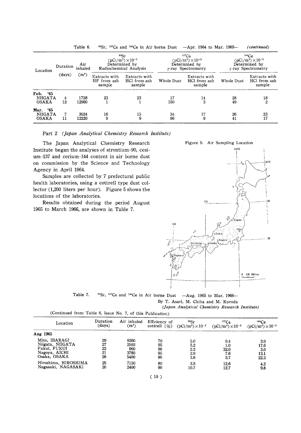|                                                 |          | Table 6.       |                                        | <sup>90</sup> Sr. <sup>137</sup> Cs and <sup>144</sup> Ce in Air borne Dust   |            | $-Mpr.$ 1964 to Mar. 1965---                                                  |            | (continued)                                                                        |
|-------------------------------------------------|----------|----------------|----------------------------------------|-------------------------------------------------------------------------------|------------|-------------------------------------------------------------------------------|------------|------------------------------------------------------------------------------------|
| Location                                        | Duration | Air<br>inhaled |                                        | 90Sr<br>$(pCi/m^{3})\times10^{-3}$<br>Determined by<br>Radiochemical Analysis |            | 137Cs<br>$(pCi/m^{3})\times10^{-3}$<br>Determined by<br>$r$ -ray Spectrometry |            | 144Ce<br>$(pCi/m^3) \times 10^{-3}$<br>Determined by<br>$\gamma$ -ray Spectrometry |
|                                                 | (days)   | $(m^3)$        | Extracts with<br>HF from ash<br>sample | Extracts with<br>HCl from ash<br>sample                                       | Whole Dust | Extracts with<br>HCl from ash<br>sample                                       | Whole Dust | Extracts with<br>HCl from ash<br>sample                                            |
| Feb.<br>- '65<br><b>NIIGATA</b><br><b>OSAKA</b> | 4<br>12  | 1728<br>12960  | 23                                     | 23                                                                            | 17<br>150  | 14<br>3                                                                       | 28<br>49   | 18<br>$\overline{2}$                                                               |
| Mar. '65<br><b>NIIGATA</b><br><b>OSAKA</b>      | 11       | 3024<br>12220  | 16<br>9                                | 15<br>9                                                                       | 34<br>96   | 17<br>9                                                                       | 26<br>41   | 23<br>17                                                                           |

Part 2 (Japan Analytical Chemistry Research Institute)

The Japan Analytical Chemistry Research Institute began the analyses of strontium-90, cesium-137 and cerium-144 content in air borne dust on commission by the Science and Technology Agency in April 1964.

Samples are collected by 7 prefectural public health laboratories, using a cottrell type dust collector (1,200 liters per hour). Figure 5 shows the locations of the laboratories.

Results obtained during the period August 1965 to March 1966, are shown in Table 7.



|  |  |  |  | Table 7. $\text{80}$ °Sr, $\text{137Cs}$ and $\text{144Ce}$ in Air borne Dust $-Aug$ . 1965 to Mar. 1966- |  |  |  |  |
|--|--|--|--|-----------------------------------------------------------------------------------------------------------|--|--|--|--|
|--|--|--|--|-----------------------------------------------------------------------------------------------------------|--|--|--|--|

By T. Asari, M. Chiba and M. Kuroda

(Japan Analytical Chemistry Research Institute)

| (Continued from Table 6, Issue No. 7, of this Publication) |          |             |                 |                              |                            |                            |
|------------------------------------------------------------|----------|-------------|-----------------|------------------------------|----------------------------|----------------------------|
| Location                                                   | Duration | Air inhaled | Efficiency of   | 90Sr                         | 137Cs                      | 144Ce                      |
|                                                            | (days)   | $(m^3)$     | cottrell $(\%)$ | $(pCi/m^{3}) \times 10^{-3}$ | $(pCi/m^{3})\times10^{-3}$ | $(pCi/m^3) \times 10^{-3}$ |
| Aug 1965                                                   |          |             |                 |                              |                            |                            |
| Mito, IBARAGI                                              | 29       | 9360        | 70              | 5.0                          | 0.4                        | 3.0                        |
| Niigata, NIIGATA                                           | 27       | 2592        | 95              | 5.2                          | 1.0                        | 17.6                       |
| Fukui. FUKUI                                               | 22       | 960         | 96              | 2.2                          | 32.0                       | 3.0                        |
| Nagoya, AICHI                                              | 21       | 3780        | 95              | 2.9                          | 7.6                        | 13.1                       |
| Osaka. OSAKA                                               | 28       | 5400        | 90              | 3.6                          | 3.7                        | 22.3                       |
| Hiroshima, HIROSHIMA                                       | 25       | 7150        | 80              | 3.5                          | 12.6                       | 4.2                        |
| Nagasaki, NAGASAKI                                         | 20       | 2400        | 90              | 10.7                         | 12.7                       | 9.8                        |

 $(10)$ 

 $\sim$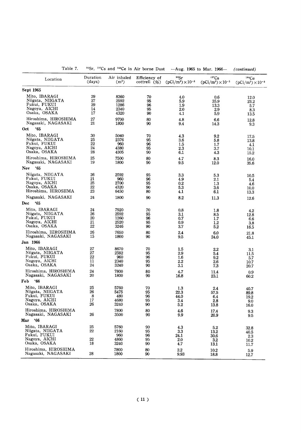|                                                                                    | uı,                  | auu                                 | ce in All borne Dust       |                                  | -Aug. 1500 to Mar. 1500            | (continuea)                         |
|------------------------------------------------------------------------------------|----------------------|-------------------------------------|----------------------------|----------------------------------|------------------------------------|-------------------------------------|
| Location                                                                           | Duration             | Air inhaled                         | Efficiency of              | 90Sr                             | $137C_S$                           | 144Ce                               |
|                                                                                    | $\frac{days}{9}$     | $(m^3)$                             | cottrell $(\% )$           | $(pCi/m^3) \times 10^{-3}$       | $(pCi/m^{3})\times10^{-3}$         | $(pCi/m^3) \times 10^{-3}$          |
| Sept 1965                                                                          |                      |                                     |                            |                                  |                                    |                                     |
| Mito, IBARAGI                                                                      | 29                   | 8360                                | 70                         | 4.0                              | 0.6                                | 12.0                                |
| Niigata, NIIGATA                                                                   | 27                   | 2592                                | 95                         | 5.9                              | 35.9                               | 23.2                                |
| Fukui, FUKUI                                                                       | 29                   | 1286                                | 96                         | 1.9                              | 13.3                               | 5.7                                 |
| Nagoya, AICHI                                                                      | 14                   | 2340                                | 95                         | 2.0                              | 2.9                                | 8.3                                 |
| Osaka, OSAKA                                                                       | 17                   | 4320                                | 90                         | 4.1                              | 5.9                                | 13.5                                |
| Hiroshima, HIROSHIMA                                                               | 27                   | 9700                                | 80                         | 4.8                              | 6.6                                | 12.8                                |
| Nagasaki, NAGASAKI                                                                 | 21                   | 1800                                | 90                         | 9.4                              | 14.3                               | 9.3                                 |
| '65<br>Oct                                                                         |                      |                                     |                            |                                  |                                    |                                     |
| Mito, IBARAGI                                                                      | 30                   | 5040                                | 70                         | 4.3                              | 9.2                                | 17.5                                |
| Niigata, NIIGATA                                                                   | 25                   | 2376                                | 95                         | 3.6                              | 5.8                                | 13.8                                |
| Fukui, FUKUI                                                                       | 22                   | 960                                 | 96                         | 1.5                              | 1.7                                | 4.1                                 |
| Nagoya, AICHI                                                                      | 24                   | 4380                                | 95                         | 2.3                              | 3.7                                | 10.1                                |
| Osaka, OSAKA                                                                       | 28                   | 4305                                | 90                         | 6.1                              | 4.3                                | 15.2                                |
| Hiroshima, HIROSHIMA                                                               | 25                   | 7500                                | 80                         | 4.7                              | 8.3                                | 16.0                                |
| Nagasaki, NAGASAKI                                                                 | 19                   | 1800                                | 90                         | 9.5                              | 12.0                               | 35.6                                |
| '65<br>Nov                                                                         |                      |                                     |                            |                                  |                                    |                                     |
| Niigata, NIIGATA                                                                   | 26                   | 2592                                | 95                         | 3.3                              | 5.3                                | 10.5                                |
| Fukui, FUKUI                                                                       | 21                   | 960                                 | 96                         | 4.9                              | 2.1                                | 5.4                                 |
| Nagoya, AICHI                                                                      | 25                   | 2700                                | 95                         | $0.2\,$                          | 1.3                                | 4.6                                 |
| Osaka, OSAKA                                                                       | 22                   | 4320                                | 90                         | 5.3                              | 3.6                                | 10.0                                |
| Hiroshima, HIROSHMA                                                                | 23                   | 6450                                | 80                         | 4.1                              | 6.1                                | 13.3                                |
| Nagasaki, NAGASAKI                                                                 | 24                   | 1800                                | 90                         | 8.2                              | 11.3                               | 12.6                                |
| <b>Dec</b><br>'65                                                                  |                      |                                     |                            |                                  |                                    |                                     |
| Mito, IBARAGI                                                                      | 24                   | 7920                                | 70                         | 0.8                              | 1.8                                | 4.2                                 |
| Niigata, NIIGATA                                                                   | 26                   | 2592                                | 95                         | 3.1                              | 8.5                                | 12.8                                |
| Fukui, FUKUI                                                                       | 20                   | 1260                                | 96                         | 0.7                              | 1.7                                | 6.6                                 |
| Nagoya, AICHI                                                                      | 21                   | 2520                                | 95                         | 0.9                              | $1.2\,$                            | 3.8                                 |
| Osaka, OSAKA                                                                       | 22                   | 3246                                | 90                         | 3.7                              | 5.2                                | 16.5                                |
| Hiroshima, HIROSHIMA                                                               | 26                   | 7650                                | 80                         | 2.4                              | 6.0                                | 21.8                                |
| Nagasaki, NAGASAKI                                                                 | 15                   | 1800                                | 90                         | 9.5                              | 24.0                               | 45.1                                |
| Jan 1966                                                                           |                      |                                     |                            |                                  |                                    |                                     |
| Mito, IBARAGI                                                                      | 27                   | 8670                                | 70                         | 1.5                              | 2.2                                | 3.1                                 |
| Niigata, NIIGATA                                                                   | 27                   | 2592                                | 95                         | 2.9                              | 5.4                                | 11.5                                |
| Fukui, FUKUI                                                                       | 22                   | 960                                 | 96                         | 1.6                              | 9.2                                | 5.7                                 |
| Nagoya, AICHI                                                                      | 11                   | 2340                                | 95                         | 2.2                              | 2.6                                | 10.7                                |
| Osaka, OSAKA                                                                       | 24                   | 3240                                | 90                         | 3.1                              | 7.3                                | 20.7                                |
| Hiroshima, HIROSHIMA                                                               | 24                   | 7800                                | 80                         | 4.7                              | 11.4                               | 0.9                                 |
| Nagasaki, NAGASAKI                                                                 | 20                   | 1800                                | 90                         | 16.8                             | 23.1                               | 60.2                                |
| .66<br>Feb                                                                         |                      |                                     |                            |                                  |                                    |                                     |
| Mito, IBARAGI                                                                      | 25                   | 5760                                | 70                         | 1.3                              | 2.4                                | 40.7                                |
| Niigata, NIIGATA                                                                   | 26                   | 5475                                | 95                         | 22.3                             | 57.5                               | 89.8                                |
| Fukui, FUKUI                                                                       | 8                    | 480                                 | 96                         | 44.0                             | 6.4                                | 19.2                                |
| Nagoya, AICHI                                                                      | 17                   | 4680                                | 95                         | 3.4                              | 2.8                                | 9.0                                 |
| Osaka, OSAKA                                                                       | 26                   | 3240                                | 90                         | 5.2                              | 13.8                               | 16.0                                |
| Hiroshima, HIROSHIMA                                                               | 26                   | 7800                                | 80                         | 4.6                              | 17.4                               | 9.3                                 |
| Nagasaki, NAGASAKI                                                                 |                      | 3500                                | 90                         | 9.9                              | 20.9                               | 9.5                                 |
| Mar '66                                                                            |                      |                                     |                            |                                  |                                    |                                     |
| Mito, IBARAGI<br>Niigata, NIIGATA<br>Fukui, FUKUI<br>Nagoya, AICHI<br>Osaka, OSAKA | 25<br>22<br>22<br>18 | 5760<br>2160<br>960<br>4860<br>3240 | 90<br>95<br>96<br>95<br>90 | 4.3<br>3.3<br>24.1<br>2.0<br>4.7 | 5.2<br>13.2<br>30.6<br>3.2<br>13.1 | 32.8<br>40.5<br>2.3<br>10.2<br>11.7 |
| Hiroshima, HIROSHIMA                                                               | 28                   | 7800                                | 80                         | $2.2\,$                          | 10.2                               | 5.9                                 |
| Nagasaki, NAGASAKI                                                                 |                      | 1800                                | 90                         | 9.93                             | 18.8                               | 12.7                                |

Table 7.  $\frac{90}{5}$ r,  $\frac{137}{5}$ cs and  $\frac{144}{5}$ ce in Air borne Dust -Aug. 1965 to Mar. 1966-(continued)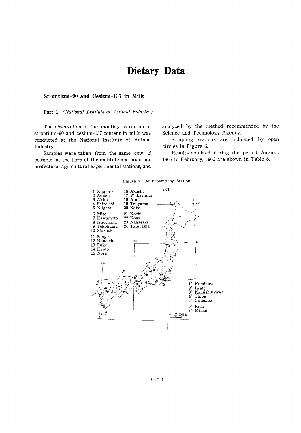# Dietary Data

# Strontium-90 and Cesium-137 in Milk

## Part 1 (National Institute of Animal Industry)

The observation of the monthly variation in strontium-90 and cesium-137 content in milk was conducted at the National Institute of Animal Industry.

Samples were taken from the same cow, if possible, at the farm of the institute and six other prefectural agricultural experimental stations, and analyzed by the method recommended by the Science and Technology Agency.

Sampling stations are indicated by open circles in Figure 6.

Results obtained during the period August, 1965 to February, 1966 are shown in Table 8.



Figure 6. Milk Sampling Station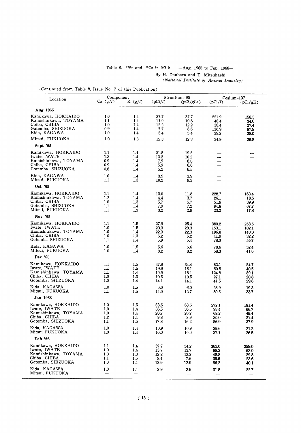# Table 8.  $^{90}$ Sr and  $^{137}$ Cs in Milk  $-Aug.$  1965 to Feb. 1966-By H. Danbara and T. Mitsuhashi

(National Institute of Animal Industry)

|                                                                                                    | Component                           |                                                           |                                      | Strontium-90                         |                                         | $Cesium-137$                            |
|----------------------------------------------------------------------------------------------------|-------------------------------------|-----------------------------------------------------------|--------------------------------------|--------------------------------------|-----------------------------------------|-----------------------------------------|
| Location                                                                                           | Ca $(g/l)$                          | K $(g/l)$                                                 | (pCi/l)                              | (pCi/gCa)                            | (pCi/l)                                 | (pCi/gK)                                |
| Aug 1965                                                                                           |                                     |                                                           |                                      |                                      |                                         |                                         |
| Kamikawa, HOKKAIDO<br>Kamishinkawa, TOYAMA<br>Chiba, CHIBA<br>Gotemba, SHIZUOKA<br>Kida, KAGAWA    | 1.0<br>1.1<br>1.0<br>0.9<br>1.0     | 1.4<br>1.4<br>1.4<br>$1.4\phantom{0}$<br>$1.4\phantom{0}$ | 37.7<br>11.9<br>12.2<br>7.7<br>5.4   | 37.7<br>10.8<br>12.2<br>8.6<br>5.4   | 221.9<br>48.4<br>38.4<br>136.9<br>39.2  | 158.5<br>34.6<br>27.4<br>97.8<br>28.0   |
| Mitsui, FUKUOKA                                                                                    | 1.0                                 | 1.3                                                       | 12.3                                 | 12.3                                 | 34.9                                    | 26.8                                    |
| Sept '65                                                                                           |                                     |                                                           |                                      |                                      |                                         |                                         |
| Kamikawa, HOKKAIDO<br>Iwate, IWATE<br>Kamishinkawa, TOYAMA<br>Chiba, CHIBA<br>Gotemba, SHIZUOKA    | 1.1<br>1.3<br>0.9<br>0.9<br>0.8     | $1.4\phantom{0}$<br>1.4<br>1.4<br>1.4<br>1.4              | 21.8<br>13.2<br>7.9<br>5.9<br>5.2    | 19.8<br>10.2<br>8.8<br>6.6<br>6.5    |                                         |                                         |
| Kida, KAGAWA<br>Mitsui, FUKUOKA                                                                    | 1.0<br>1.1                          | 1.4<br>$1.3\phantom{0}$                                   | 3.9<br>10.2                          | 3.9<br>9.3                           |                                         |                                         |
| Oct '65                                                                                            |                                     |                                                           |                                      |                                      |                                         |                                         |
| Kamikawa, HOKKAIDO<br>Kamishinkawa, TOYAMA<br>Chiba, CHIBA<br>Gotemba, SHIZUOKA<br>Mitsui, FUKUOKA | 1.1<br>1.2<br>1.0<br>1.1<br>1.1     | 1.4<br>1.4<br>1.3<br>1.4<br>1.3                           | 13.0<br>4.4<br>5.7<br>7.9<br>3.2     | 11.8<br>3.7<br>5.7<br>7.2<br>2.9     | 228.7<br>26.1<br>51.9<br>94.8<br>23.2   | 163.4<br>18.6<br>39.9<br>67.7<br>17.8   |
| Nov '65                                                                                            |                                     |                                                           |                                      |                                      |                                         |                                         |
| Kamikawa, HOKKAIDO<br>Iwate, IWATE<br>Kamishinkawa, TOYAMA<br>Chiba, CHIBA<br>Gotemba SHIZUOKA     | 1,1<br>1.0<br>1.0<br>1.0<br>$1.1\,$ | $1.5\,$<br>1.5<br>1.4<br>$1.3\,$<br>1.4                   | 27.9<br>29.3<br>22.3<br>6.2<br>5.9   | 25.4<br>29.3<br>22,3<br>6.2<br>5.4   | 380.2<br>153.1<br>196.0<br>41.9<br>78.0 | 253.5<br>102.1<br>140.0<br>32.2<br>55.7 |
| Kida, KAGAWA<br>Mitsui, FUKUOKA                                                                    | 1.0<br>1.0                          | 1.5<br>1.4                                                | 5.6<br>8.2                           | 5.6<br>8.2                           | 78.6<br>58.3                            | 52.4<br>41.6                            |
| Dec '65                                                                                            |                                     |                                                           |                                      |                                      |                                         |                                         |
| Kamikawa, HOKKAIDO<br>Iwate, IWATE<br>Kamishinkawa, TOYAMA<br>Chiba, CHIBA<br>Gotemba, SHIZUOKA    | 1.1<br>$1.1\,$<br>1.1<br>1.0<br>1.0 | 1.5<br>1.5<br>1.4<br>1.3<br>1.4                           | 37.8<br>19.9<br>19.9<br>10.5<br>14.1 | 34.4<br>18.1<br>18.1<br>10.5<br>14.1 | 82.1<br>60.8<br>124.8<br>27.1<br>41.5   | 54.7<br>40.5<br>89.1<br>20.8<br>29.6    |
| Kida, KAGAWA<br>Mitsui, FUKUOKA                                                                    | 1.0<br>1.1                          | $1.5\,$<br>1.5                                            | 6.0<br>14.0                          | 6.0<br>12.7                          | 28.9<br>50.5                            | 19.3<br>33.7                            |
| Jan 1966                                                                                           |                                     |                                                           |                                      |                                      |                                         |                                         |
| Kamikawa, HOKKAIDO<br>Iwate, IWATE<br>Kamishinkawa, TOYAMA<br>Chiba, CHIBA<br>Gotemba, SHIZUOKA    | 1.0<br>1.0<br>1.0<br>1.2<br>1.1     | 1.5<br>1.4<br>1.4<br>1.4<br>1.5                           | 63.6<br>36.5<br>20.7<br>9.8<br>17.8  | 63.6<br>36.5<br>20.7<br>8.9<br>16.2  | 272.1<br>93.4<br>69.2<br>30.0<br>56.9   | 181.4<br>66.7<br>49.4<br>21.4<br>37.9   |
| Kida, KAGAWA<br>Mitsui FUKUOKA                                                                     | 1.0<br>1.0                          | 1.4<br>1.4                                                | 10.9<br>16.0                         | 10.9<br>16.0                         | 29.6<br>37.1                            | 21.2<br>26.5                            |
| Feb '66                                                                                            |                                     |                                                           |                                      |                                      |                                         |                                         |
| Kamikawa, HOKKAIDO<br>Iwate, IWATE<br>Kamishinkawa, TOYAMA<br>Chiba, CHIBA<br>Gotemba, SHIZUOKA    | 1.1<br>1.0<br>1.0<br>1.1<br>1.0     | 1.4<br>1.4<br>$1.3\,$<br>$1.5\,$<br>1.4                   | 37.7<br>13.7<br>12.2<br>8.4<br>12.9  | 34.2<br>13.7<br>12.2<br>7.6<br>12.9  | 363.0<br>88.2<br>48.8<br>35.5<br>56.2   | 259.0<br>63.0<br>29.8<br>23.6<br>40.1   |
| Kida, KAGAWA<br>Mitsui, FUKUOKA                                                                    | 1,0                                 | 1.4                                                       | 2.9                                  | 2.9                                  | 31.8                                    | 22.7                                    |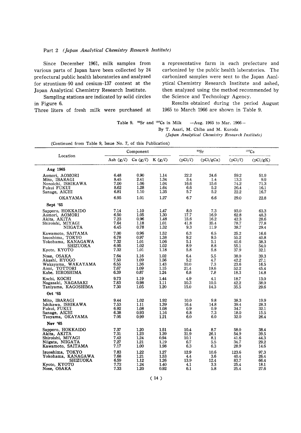## Part 2 (Japan Analytical Chemistry Research Institute)

Since December 1961, milk samples from various parts of Japan have been collected by 24 prefectural public health laboratories and analyzed for strontium-90 and cesium-137 content at the Japan Analytical Chemistry Research Institute.

Sampling stations are indicated by solid circles in Figure 6.

Three liters of fresh milk were purchased at

a representative farm in each prefecture and carbonized by the public health laboratories. The carbonized samples were sent to the Japan Aanlytical Chemistry Research Institute and ashed, then analyzed using the method recommended by the Science and Technology Agency.

Results obtained during the period August 1965 to March 1966 are shown in Table 9.

Table 9. <sup>90</sup>Sr and <sup>137</sup>Cs in Milk  $-Aug.$  1965 to Mar. 1966-

By T. Asari, M. Chiba and M. Kuroda

(Japan Analytical Chemistry Research Institute)

| (Continued from Table 9, Issue No. 7, of this Publication) |  |  |  |  |  |  |  |  |
|------------------------------------------------------------|--|--|--|--|--|--|--|--|
|------------------------------------------------------------|--|--|--|--|--|--|--|--|

|                     |             | Component            |      |         | 90Sr      | $137C_S$ |          |  |
|---------------------|-------------|----------------------|------|---------|-----------|----------|----------|--|
| Location            | Ash $(g/l)$ | Ca $(g/l)$ K $(g/l)$ |      | (pCi/l) | (pCi/gCa) | (pCi/l)  | (pCi/gK) |  |
| Aug 1965            |             |                      |      |         |           |          |          |  |
| Aomori, AOMORI      | 6.48        | 0.90                 | 1.14 | 22.2    | 24.6      | 59.2     | 51.9     |  |
| Mito, IBARAGI       | 8.45        | 2.41                 | 1.34 | $3.4\,$ | 1.4       | 13.3     | 9.9      |  |
| Nonoichi, ISHIKAWA  | 7.00        | 1.06                 | 1.04 | 16.6    | 15.6      | 74.2     | 71.3     |  |
| Fukui FUKUI         | 8.62        | 1.28                 | 1.64 | 6.6     | 5.2       | 26.4     | 16.1     |  |
| Sanage, AICHI       | 6.81        | 1.10                 | 1.35 | 5.7     | 5.2       | 22.2     | 16.7     |  |
| OKAYAMA             | 6.95        | 1.01                 | 1.27 | 6.7     | 6.6       | 29.0     | 22.8     |  |
| Sept '65            |             |                      |      |         |           |          |          |  |
| Sapporo, HOKKAIDO   | 7.14        | 1.10                 | 1.47 | 8.0     | 7.3       | 93,0     | 63.3     |  |
| Aomori, AOMORI      | 6.50        | 1.05                 | 1.30 | 17.7    | 16.9      | 62.8     | 48.3     |  |
| Akita, AKITA        | 7.23        | 0.96                 | 1.48 | 15.6    | 16.2      | 42.3     | 28.6     |  |
| Shiroishi, MIYAGI   | 7.64        | 1.18                 | 1.01 | 41.8    | 35.4      | 78.7     | 77.8     |  |
| <b>NIIGATA</b>      | 6.45        | 0.78                 | 1.32 | 9.3     | 11.9      | 38,7     | 29.4     |  |
| Kawamoto, SAITAMA   | 7.00        | 0.96                 | 1.52 | 6.3     | 6.5       | 25.2     | 16.6     |  |
| Izuoshima, TOKYO    | 6.78        | 0.97                 | 1.38 | 9.2     | 9.5       | 55,2     | 40.8     |  |
| Yokohama, KANAGAWA  | 7.32        | 1.01                 | 1.06 | 5.1     | 5.1       | 40.6     | 38.3     |  |
| <b>SHIZUOKA</b>     | 6.95        | 1.02                 | 1.02 | 8.9     | 8.8       | 55.1     | 54.0     |  |
| Kyoto, KYOTO        | 7.32        | 1.01                 | 1.18 | 5.8     | 5.8       | 37.9     | 32.1     |  |
| Nose, OSAKA         | 7.64        | 1.16                 | 1.02 | 6.4     | 5.5       | 38.0     | 39.3     |  |
| Akashi, HYOGO       | 7.50        | 1.09                 | 1.56 | 5.2     | 4.7       | 42.2     | 27.1     |  |
| Wakayama, WAKAYAMA  | 6.55        | 1.36                 | 1.43 | 10.0    | 7.3       | 23.6     | 16.5     |  |
| Aimi, TOTTORI       | 7.67        | 1.09                 | 1.15 | 21.4    | 19.6      | 52.2     | 45.4     |  |
| Kabe, HIROSHIMA     | 6.39        | 0.87                 | 1.24 | 6.8     | 7.8       | 18.3     | 14.8     |  |
| Kochi, KOCHI        | 9.73        | 1.19                 | 1.44 | 4.9     | 4.1       | 18.7     | 13.0     |  |
| Nagasaki, NAGASAKI  | 7.83        | 0.98                 | 1.11 | 10.3    | 10.5      | 42.2     | 38.0     |  |
| Taniyama, KAGOSHIMA | 7.30        | 1.05                 | 1.20 | 15.0    | 14.3      | 35.5     | 29.6     |  |
| Oct '65             |             |                      |      |         |           |          |          |  |
| Mito, IBARAGI       | 9.44        | 1.02                 | 1.92 | 10.0    | 9.8       | 38.3     | 19.9     |  |
| Ishikawa, ISHIKAWA  | 7.53        | 1.11                 | 1.39 | 16.4    | 14.8      | 39.4     | 28.3     |  |
| Fukui, FUKUI        | 6.92        | 1.08                 | 1.08 | 0.9     | 0.9       | 34.7     | 32.1     |  |
| Sanage, AICHI       | 6.38        | 0.93                 | 1.16 | 6.8     | 7.3       | 18.0     | 15.5     |  |
| Tsuyama, OKAYAMA    | 7.05        | 0.99                 | 1.21 | 6.0     | 6.0       | 32.0     | 26.4     |  |
| Nov '65             |             |                      |      |         |           |          |          |  |
| Sapporo, HOKKAIDO   | 7.37        | 1.20                 | 1.51 | 10.4    | 8.7       | 58.0     | 38.4     |  |
| Akita, AKITA        | 7.31        | 1.23                 | 1.39 | 31.9    | 26.1      | 54.9     | 39.5     |  |
| Shiroishi, MIYAGI   | 7.42        | 1.24                 | 0.94 | 10.1    | 8.1       | 41.6     | 44.3     |  |
| Niigata, NIIGATA    | 7.27        | 1.21                 | 1.19 | 6.7     | 5.5       | 34.7     | 29.2     |  |
| Kawamoto, SAITAMA   | 7.17        | 1.00                 | 1.98 | 6.3     | 6.3       | 28.9     | 14.6     |  |
| Izuoshima, TOKYO    | 7.83        | 1.22                 | 1.27 | 12.9    | 10.6      | 123.6    | 97.3     |  |
| Yokohama, KANAGAWA  | 7.68        | 1.21                 | 1.53 | 4.4     | 3.6       | 40.4     | 26.4     |  |
| <b>SHIZUOKA</b>     | 6.59        | 1.12                 | 1.26 | 13.9    | 12.4      | 83.7     | 66.4     |  |
| Kyoto, KYOTO        | 7.72        | 1.24                 | 1.40 | 4.1     | 3.3       | 25.4     | 18.1     |  |
| Nose, OSAKA         | 7.33        | 1.20                 | 0.92 | 6.1     | 5.8       | 25.4     | 27.6     |  |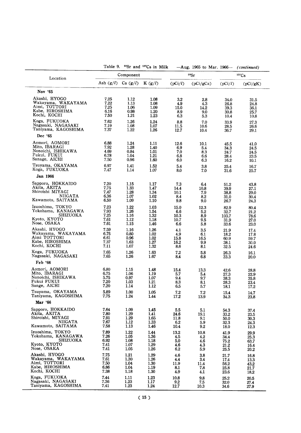|                     |      |                        | Table 9. <sup>90</sup> Sr and <sup>137</sup> Cs in Milk |         | $-\text{Aug. } 1965$ to Mar. 1966 $-$ (continued) |          |            |  |
|---------------------|------|------------------------|---------------------------------------------------------|---------|---------------------------------------------------|----------|------------|--|
| Location            |      | Component              |                                                         |         | 90Sr                                              | $137C_S$ |            |  |
|                     |      | Ash $(g/l)$ Ca $(g/l)$ | K $(g/l)$                                               | (pCi/l) | (pCi/gCa)                                         | (pCi/l)  | (pCi/gK)   |  |
| Nov '65             |      |                        |                                                         |         |                                                   |          |            |  |
| Akashi, HYOGO       | 7.25 | 1.12                   | 1.08                                                    | $3.2\,$ | 2.8                                               | 34.0     | 31.5       |  |
| Wakayama, WAKAYAMA  | 7.22 | 1.13                   | 1.08                                                    | 4.9     | 4.3                                               | 26.8     | 24.8       |  |
| Aimi, TOTTORI       | 7.25 | 1.06                   | 1.09                                                    | 15.0    | 14.2                                              | 39.3     | 36.1       |  |
| Kabe, HIROSHIMA     | 6.16 | 0.98                   | 1.20                                                    | 8.9     | 9.0                                               | 30.8     | 25.7       |  |
| Kochi, KOCHI        | 7.50 | 1.21                   | 1.23                                                    | 6.3     | 5.3                                               | 10.4     | 10.8       |  |
| Koga, FUKUOKA       | 7.62 | 1.26                   | 1.24                                                    | 8.8     | 7.0                                               | 33.9     | 27.3       |  |
| Nagasaki, NAGASAKI  | 7.19 | 1.08                   | 1.07                                                    | 11.5    | 10.6                                              | 28.5     | 26.6       |  |
| Taniyama, KAGOSHIMA | 7.37 | 1.22                   | 1.26                                                    | 12.7    | 10.4                                              | 36.7     | 29.1       |  |
| Dec '65             |      |                        |                                                         |         |                                                   |          |            |  |
| Aomori, AOMORI      | 6.88 | 1.24                   | 1.11                                                    | 12.6    | 10.1                                              | 45.5     | 41.0       |  |
| Mito, IBARAGI       | 7.92 | 1.28                   | 1.40                                                    | 6.9     | 5.4                                               | 34.3     | 24.5       |  |
| Nonoichi, ISHIKAWA  | 4.69 | 0.84                   | 1.01                                                    | 7.0     | 8.3                                               | 24.7     | 24.5       |  |
| Fukui, FUKUI        | 6.78 | 1.04                   | 1.21                                                    | 6.8     | 6.6                                               | 28.4     | 23.5       |  |
| Sanage, AICHI       | 7.50 | 0.96                   | 1.60                                                    | 6.0     | 6.3                                               | 16.2     | 10.1       |  |
| Tsuyama, OKAYAMA    | 6.97 | 1.41                   | 1.52                                                    | 5.4     | 3.8                                               | 25.4     | 16.7       |  |
| Koga, FUKUOKA       | 7.47 | 1.14                   | 1.07                                                    | 8.0     | 7.0                                               | 31.6     | 25.7       |  |
| Jan 1966            |      |                        |                                                         |         |                                                   |          |            |  |
| Sapporo, HOKKAIDO   | 7.20 | 1.15                   | 1.17                                                    | 7.3     | 6.4                                               | 51.2     | 43.8       |  |
| Akita, AKITA        | 7.75 | 1.33                   | 1.47                                                    | 14.4    | 10.8                                              | 39.9     | 27.1       |  |
| Shiroishi MIYAGI    | 7.47 | 1.28                   | 1.34                                                    | 10.1    | 7.9                                               | 38.8     | 29.0       |  |
| NIIGATA             | 6.36 | 1.07                   | 1.02                                                    | 8.4     | 8.2                                               | 31.0     | 30.4       |  |
| Kawamoto, SAITAMA   | 6.50 | 1.09                   | 1.10                                                    | 9.8     | 9.0                                               | 26.7     | 24.3       |  |
| Izuoshima, TOKYO    | 7.23 | 1.22                   | 1.03                                                    | 15.0    | 12.3                                              | 82.9     | 80.4       |  |
| Yokohama, KANAGAWA  | 7.93 | 1.26                   | 1.54                                                    | 6.6     | 5.2                                               | 32.7     | 21.2       |  |
| SHIZUOKA            | 7.25 | 1.16                   | 1.32                                                    | 10.3    | 8.9                                               | 103.7    | 78.6       |  |
| Kyoto, KYOTO        | 7.61 | 1.12                   | 1.18                                                    | 10.7    | 9.5                                               | 31.9     | 27.0       |  |
| Nose, OSAKA         | 7.61 | 1.15                   | 1.46                                                    | 6.6     | 5.8                                               | 33.6     | 23.0       |  |
| Akashi, HYOGO       | 7.59 | 1.16                   | 1.26                                                    | 4.1     | 3.5                                               | 21.9     | 17.4       |  |
| Wakayama, WAKAYAMA  | 6.75 | 0.80                   | 1.02                                                    | 4.9     | 6,1                                               | 18.2     | 17.8       |  |
| Aimi TOTTORI        | 6.61 | 0.96                   | 1.02                                                    | 15.8    | 16.5                                              | 60.9     | 59.7       |  |
| Kabe, HIROSHIMA     | 7.37 | 1.63                   | 1.27                                                    | 16.2    | 9.9                                               | 38.1     | 30.0       |  |
| Kochi, KOCHI        | 7.11 | 1.07                   | 1.32                                                    | 8.6     | 8,1                                               | 32.5     | 24.6       |  |
| Koga, FUKUOKA       | 7.65 | 1.26                   | 1.63                                                    | 7.2     | 5.8                                               | 26.3     | 16.1       |  |
| Nagasaki, NAGASAKI  | 7.65 | 1.26                   | 1.67                                                    | 8.4     | 6.8                                               | 33.3     | 20.0       |  |
| Feb '66             |      |                        |                                                         |         |                                                   |          |            |  |
| Aomori, AOMORI      | 6.80 | 1.15                   | 1.48                                                    | 15.4    | 13.3                                              | 42.6     | 28.8       |  |
| Mito, IBARAGI       | 6.75 | 1.06                   | 1.19                                                    | 5.7     | 5.4                                               | 27.3     | 22.9       |  |
| Nonoichi, ISHIKAWA  | 5.75 | 0.97                   | 1.07                                                    | 9.4     | 9.7                                               | 38.3     | 35.8       |  |
| Fukui FUKUI         | 7.20 | 1.03                   | 1.21                                                    | 8.3     | 8.1                                               | 28.3     | 23.4       |  |
| Sange, AICHI        | 7.20 | 1.14                   | 1.12                                                    | 6.5     | 5.7                                               | 18.1     | 17.2       |  |
| Tsuyama, OKAYAMA    | 5.89 | 1.00                   | 1.05                                                    | 7.2     | 7.2                                               | 15.4     | $\bf 14.7$ |  |
| Taniyama, KAGOSHIMA | 7.75 | 1.24                   | 1.44                                                    | 17.2    | 13.9                                              | 34.3     | 23.8       |  |
| Mar '66             |      |                        |                                                         |         |                                                   |          |            |  |
| Sapporo, HOKKAIDO   | 7.64 | 1.09                   | 1.45                                                    | 5.5     | 5.1                                               | 54.3     | 37.4       |  |
| Akita, AKITA        | 7.80 | 1.29                   | 1.41                                                    | 24.6    | 19.1                                              | 33.2     | 23.5       |  |
| Shiroishi, MIYAGI   | 7.91 | 1.29                   | 1.65                                                    | 11.8    | 9,1                                               | 50.0     | 30.3       |  |
| NIIGATA             | 7.67 | 1.12                   | 1.33                                                    | 6.2     | 5.9                                               | 32.3     | 24.3       |  |
| Kawamoto, SAITAMA   | 7.58 | 1.13                   | 1.46                                                    | 10.4    | 9.2                                               | 18.0     | 12.3       |  |
| Izuoshima, TOKYO    | 7.89 | 1.22                   | 1.44                                                    | 13.2    | 10.8                                              | 41.9     | 29.9       |  |
| Yokohama, KANAGAWA  | 7.26 | 1.05                   | 1.36                                                    | 4.5     | 4.2                                               | 34.4     | 25.3       |  |
| SHIZUOKA            | 6.92 | 1.08                   | 1.18                                                    | 5.0     | 4.6                                               | 75.2     | 63.7       |  |
| Kyoto, KYOTO        | 7.41 | 1.07                   | 1.29                                                    | 4.6     | 4.3                                               | 21.2     | 16.4       |  |
| Nose, OSAKA         | 7.41 | 1.05                   | 1.26                                                    | 6.2     | 5,9                                               | 25.5     | 20.2       |  |
| Akashi, HYOGO       | 7.75 | 1.21                   | 1.29                                                    | 4.6     | 3.8                                               | 21.7     | 16.8       |  |
| Wakayama, WAKAYAMA  | 7.61 | 1.30                   | 1.26                                                    | 4.4     | 3.4                                               | 17.4     | 13.3       |  |
| Aimi, TOTTORI       | 7.50 | 1.04                   | 1.30                                                    | 11.9    | 11.4                                              | 56.2     | 43.2       |  |
| Kabe, HIROSHIMA     | 6.86 | 1.04                   | 1.19                                                    | 8.1     | 7.8                                               | 25.8     | 21.7       |  |
| Kochi, KOCHI        | 7.38 | 1.18                   | 1.30                                                    | 4.9     | 4.1                                               | 23.6     | 18.2       |  |
| Koga, FUKUOKA       | 7.44 | 1.11                   | 1.23                                                    | 10.8    | 9.8                                               | 25.2     | 20.5       |  |
| Nagasaki, NAGASAKI  | 7.36 | 1.23                   | 1.17                                                    | 9.2     | 7.5                                               | 32.0     | 27.4       |  |
| Taniyama, KAGOSHIMA | 7.41 | 1.23                   | 1.24                                                    | 12.7    | 10.3                                              | 34.6     | 27.9       |  |

 $\mathcal{A}^{\mathcal{A}}$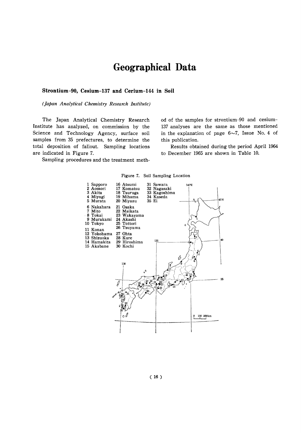# Geographical Data

#### Strontium-90, Cesium-137 and Cerium-144 in Soil

(Japan Analytical Chemistry Research Institute)

The Japan Analytical Chemistry Research Institute has analyzed, on commission by the Science and Technology Agency, surface soil samples from 35 prefectures, to determine the total deposition of fallout. Sampling locations are indicated in Figure 7.

Sampling procedures and the treatment meth-

od of the samples for strontium-90 and cesium-137 analyses are the same as those mentioned in the explanation of page  $6\sim7$ , Issue No. 4 of this publication.

Results obtained during the period April 1964 to December 1965 are shown in Table 10.



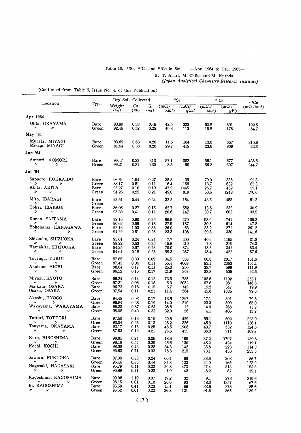# Table 10.  $^{90}Sr$ ,  $^{137}Cs$  and  $^{144}Ce$  in Soil  $-Apr$ . 1964 to Dec. 1965-

By T. Asari, M. Chiba and M. Kuroda (Japan Analytical Chemistry Research Institute)

(Continued from Table 6, Issue No. 4, of this Publication)

 $\hat{\mathcal{A}}$ 

|                                                                                                                                   |                                | Dry Soil Collected               |                                   |                                | 90Sr                         |                           | 137Cs                         |                            | 144Ce                            |  |
|-----------------------------------------------------------------------------------------------------------------------------------|--------------------------------|----------------------------------|-----------------------------------|--------------------------------|------------------------------|---------------------------|-------------------------------|----------------------------|----------------------------------|--|
| Location                                                                                                                          | ${\bf Type}$                   | Weight<br>(%)                    | Ca<br>(%)                         | $\overline{\mathbf{K}}$<br>(%) | (mCi/<br>$km^2$              | (mCi/<br>gCa              | (mCi)<br>$km^2$               | (mCi)<br>gK)               | (mCi/km <sup>2</sup> )           |  |
| Apr 1964                                                                                                                          |                                |                                  |                                   |                                |                              |                           |                               |                            |                                  |  |
| Ohta, OKAYAMA<br>IJ<br>n                                                                                                          | Bare<br>Green                  | 93.89<br>92.46                   | 0.38<br>0.52                      | 0.46<br>0.25                   | 42.5<br>40.8                 | 323<br>113                | 62.8<br>15.8                  | 391<br>178                 | 102.5<br>84.7                    |  |
| May '64                                                                                                                           |                                |                                  |                                   |                                |                              |                           |                               |                            |                                  |  |
| Murata, MIYAGI<br>Miyagi, MIYAGI                                                                                                  | Bare<br>Green                  | 93.69<br>81.54                   | 0.63<br>0.38                      | 0.20<br>0.20                   | 11.6<br>29.7                 | 104<br>419                | 13.0<br>23.6                  | 367<br>809                 | 315.8<br>22.3                    |  |
| Jun '64                                                                                                                           |                                |                                  |                                   |                                |                              |                           |                               |                            |                                  |  |
| Aomori, AOMORI<br>11<br>11                                                                                                        | Bare<br>Green                  | 96.47<br>96.21                   | 0.23<br>0.31                      | 0.13<br>0.30                   | 57.1<br>8.5                  | 382<br>99                 | 56,1<br>56.2                  | 677<br>697                 | 428.6<br>244.7                   |  |
| Jul '64                                                                                                                           |                                |                                  |                                   |                                |                              |                           |                               |                            |                                  |  |
| Sapporo, HOKKAIDO<br>n.<br>ŋ<br>Akita, AKITA<br>n<br>$^{\prime\prime}$                                                            | Bare<br>Green<br>Bare<br>Green | 96.64<br>88.17<br>93.27<br>94.26 | 1.94<br>0.51<br>0.10<br>0.25      | 0.27<br>0.11<br>0.19<br>0.21   | 35.8<br>16.4<br>47.2<br>49.0 | 39<br>156<br>1445<br>819  | 70.0<br>13.7<br>26.7<br>63.6  | 538<br>632<br>452<br>1248  | 192.3<br>65.3<br>57.1<br>170.6   |  |
| Mito, IBARAGI                                                                                                                     | Bare                           | 92.51                            | 0.44                              | 0.24                           | 32.2                         | 184                       | 43.5                          | 455                        | 91.2                             |  |
| IJ.<br>$^{\prime\prime}$<br>Tokai, IBARAGI<br>$^{\prime\prime}$<br>W                                                              | Green<br>Bare<br>Green         | 86.06<br>93.30                   | 0.27<br>0.41                      | 0.15<br>0.11                   | 62.7<br>20.6                 | 582<br>147                | 13.6<br>30.7                  | 232<br>603                 | 30.9<br>33.5                     |  |
| Konan, SAITAMA<br>'I<br>IJ<br>Yokohama, KANAGAWA<br>$^{\prime\prime}$<br>$^{\prime\prime}$                                        | Bare<br>Green<br>Bare<br>Green | 89.16<br>90.63<br>92.16<br>94.29 | 0.90<br>0.59<br>1.03<br>0.61      | 0.26<br>0.18<br>0.33<br>0.26   | 66.6<br>27.9<br>26.0<br>23.3 | 270<br>187<br>63<br>108   | 53.0<br>30.3<br>35.2<br>29.8  | 741<br>614<br>271<br>330   | 185.2<br>47.8<br>261.2<br>141.6  |  |
| Shizuoka, SHIZUOKA<br>n<br>'I<br>Hamakita, SHIZUOKA<br>$^{\prime\prime}$<br>IJ                                                    | Bare<br>Green<br>Bare<br>Green | 95.01<br>89.22<br>94.25<br>94.64 | 0.24<br>0.53<br>0.07<br>0.18      | 0.24<br>0.25<br>0.23<br>0.23   | 7.7<br>15.6<br>70.0<br>99.3  | 200<br>210<br>374<br>287  | 40.6<br>7.8<br>18.6<br>18.4   | 1195<br>219<br>341<br>422  | 31.8<br>74.3<br>83.4<br>57.6     |  |
| Tsuruga, FUKUI<br>ŋ.<br>$\prime$<br>Akabane, AICHI<br>n<br>n                                                                      | Bare<br>Green<br>Bare<br>Green | 97.85<br>97.45<br>98.04<br>96.52 | 0.30<br>0.04<br>0.17<br>0.15      | 0.09<br>0.11<br>0.11<br>0.17   | 34.5<br>55.4<br>25.0<br>21.9 | 358<br>4068<br>250<br>302 | 60.8<br>83.1<br>38.7<br>38.8  | 2017<br>2363<br>599<br>505 | 151.6<br>154.1<br>111.9<br>92.5  |  |
| Miyazu, KYOTO<br>$^{\prime\prime}$<br>n<br>Maikata, OSAKA<br>Osaka, OSAKA                                                         | Bare<br>Green<br>Bare<br>Green | 96.24<br>97.21<br>96.73<br>97.54 | 0.14<br>0.06<br>0.18<br>0.11      | 0.12<br>0.18<br>0.15<br>0.21   | 73.5<br>5.3<br>6.7<br>11.4   | 735<br>2052<br>142<br>564 | 102.6<br>67.8<br>19.2<br>45.8 | 1192<br>981<br>547<br>1336 | 253.1<br>146.6<br>19.9<br>79.5   |  |
| Akashi, HYOGO<br>$\prime$<br>"<br>Wakayama, WAKAYAMA<br>$\prime$<br>$^{\prime\prime}$                                             | Bare<br>Green<br>Bare<br>Green | 94.48<br>96.84<br>99.23<br>98.08 | 0.03<br>0.28<br>0.87<br>0.40      | 0.17<br>0.19<br>0.23<br>0.33   | 13.6<br>14.0<br>28.8<br>32.0 | 1297<br>210<br>12<br>26   | 17.1<br>23.3<br>4.9<br>4.1    | 301<br>509<br>768<br>406   | 79.8<br>65.0<br>13.2<br>13.2     |  |
| Tottori, TOTTORI<br>11<br>IJ.<br>Tsuyama, OKAYAMA<br>$\prime$<br>$\prime$                                                         | Bare<br>Green<br>Bare<br>Green | 97.50<br>93.04<br>92.17<br>87.53 | $_{0.13}$<br>0.25<br>0.13<br>0.12 | 0.19<br>0.13<br>0.25<br>0.21   | 29.8<br>28.2<br>46.5<br>26.5 | 429<br>336<br>1906<br>459 | 59.1<br>45.9<br>43.7<br>36.3  | 602<br>1110<br>532<br>711  | 223.9<br>136.1<br>124.5<br>109.7 |  |
| Kure, HIROSHIMA<br>$^{\prime\prime}$<br>$^{\prime\prime}$<br>Kochi, KOCHI<br>$^{\prime\prime}$<br>$^{\prime\prime}$               | Bare<br>Green<br>Bare<br>Green | 98.85<br>98.18<br>98.08<br>95.63 | 0.24<br>0.54<br>0.42<br>0.71      | 0.05<br>0.29<br>0.28<br>0.33   | 18.6<br>26.6<br>34.3<br>78.3 | 199<br>130<br>142<br>215  | 37.2<br>46.2<br>35.8<br>73.1  | 1797<br>424<br>223<br>438  | 139.8<br>119.1<br>114.3<br>255.5 |  |
| Sawara, FUKUOKA<br>$\prime\prime$<br>$^{\prime\prime}$<br>Nagasaki, NAGASAKI<br>$\eta$ and the set of $\eta$<br>$^{\prime\prime}$ | Bare<br>Green<br>Bare<br>Green | 97.39<br>96.46<br>95.79<br>96.89 | 0.83<br>0.85<br>0.11<br>0.11      | 0.24<br>0.44<br>0.22<br>0.23   | 60.4<br>34.3<br>20.8<br>1.9  | 80<br>122<br>473<br>42    | 33.6<br>24.0<br>27.4<br>8.2   | 208<br>165<br>313<br>87    | 86.7<br>123.9<br>153.5<br>35.1   |  |
| Kagoshima, KAGOSHIMA<br>$\mathcal{U}$ and the set of $\mathcal{U}$<br>IJ<br>Ei, KAGOSHIMA<br>n<br>$^{\prime\prime}$               | Bare<br>Green<br>Bare<br>Green | 99.08<br>98.15<br>95.59<br>96.52 | 1.19<br>0.61<br>0.41<br>0.61      | 0.07<br>0.10<br>0.23<br>0.22   | 17.2<br>20.6<br>15.1<br>36.8 | 32<br>93<br>69<br>121     | 9.1<br>48.3<br>33.6<br>91.8   | 278<br>1357<br>275<br>865  | 219.6<br>67.6<br>85.6<br>139.2   |  |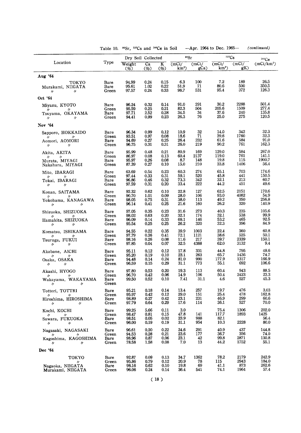|                                                            | Dry Soil Collected     |                         |                                 | $90$ Sr                        |                          | 137C <sub>S</sub>   | 144Ce                    |                     |                         |
|------------------------------------------------------------|------------------------|-------------------------|---------------------------------|--------------------------------|--------------------------|---------------------|--------------------------|---------------------|-------------------------|
| Location                                                   | Type                   | Weight<br>$(\%)$        | $\overline{\mathrm{Ca}}$<br>(%) | $\overline{\mathbf{K}}$<br>(%) | (mCi/<br>km <sup>2</sup> | (mCi)<br>gĊa)       | (mCi/<br>km <sup>2</sup> | (mCi/<br>gK)        | (mCi/km <sup>2</sup> )  |
| Aug '64                                                    |                        |                         |                                 |                                |                          |                     |                          |                     |                         |
| токто<br>Murakami, NIIGATA<br>11<br>11                     | Bare<br>Bare<br>Green  | 94.99<br>95.61<br>97.57 | 0.24<br>1.02<br>0.24            | 0.15<br>0.22<br>0.33           | 6.3<br>51.9<br>98.7      | 100<br>71<br>531    | 7.2<br>80.6<br>95.4      | 189<br>500<br>372   | 26,5<br>350.5<br>126.3  |
| Oct '64                                                    |                        |                         |                                 |                                |                          |                     |                          |                     |                         |
| Miyazu, KYOTO<br>r,<br>11<br>Tsuyama, OKAYAMA              | Bare<br>Green<br>Bare  | 96.24<br>95.59<br>97.71 | 0.32<br>0.25<br>2.52            | 0.14<br>0.21<br>0.28           | 91,0<br>82.3<br>34.5     | 291<br>504<br>34    | 30.2<br>205.6<br>37.6    | 2288<br>1509<br>240 | 501.4<br>277.4<br>135.8 |
| 11<br>11                                                   | Green                  | 94.41                   | 0.99                            | 0.23                           | 26.3                     | 76                  | 25.0                     | 275                 | 120.5                   |
| Nov '64                                                    |                        |                         |                                 |                                |                          |                     |                          |                     |                         |
| Sapporo, HOKKAIDO<br>11<br>"                               | Bare<br>Green          | 96.34<br>93.51          | 0.99<br>0.97                    | 0.12<br>0.08                   | 10.9<br>18.6             | 32<br>71            | 14.0<br>39.6<br>61.6     | 342<br>1760<br>584  | 32.3<br>32.3<br>91.0    |
| Aomori, AOMORI<br>$^{\prime\prime}$<br>11                  | Bare<br>Green          | 94.69<br>96.75          | 0.27<br>0.31                    | 0.25<br>0.31                   | 26.4<br>26.0             | 232<br>219          | 90.2                     | 761                 | 162.3                   |
| Akita, AKITA<br>$\prime$<br>$^{\prime\prime}$              | Bare<br>Green          | 95.99<br>86.97          | 0.48<br>0.08                    | 0.21<br>0.13                   | 80.9<br>60.4             | 169<br>2137         | 129.0<br>119.0           | 584<br>761          | 267.0<br>141.1          |
| Murata, MIYAGI<br>Nakahara, MIYAGI                         | Bare<br>Green          | 95.97<br>87.39          | 0.26<br>0.27                    | 0.08<br>0.10                   | 8.7<br>15.0              | 148<br>210          | 19.8<br>33.8             | 115<br>1406         | 1900.7<br>56.4          |
| Mito, IBARAGI<br>$^{\prime\prime}$<br>11                   | Bare<br>Green          | 63.69<br>97.44          | 0.54<br>0.33                    | 0.23<br>0.31                   | 60.3<br>59.1             | 274<br>520          | 65.1<br>45.8             | 703<br>441          | 174.6<br>150.5          |
| Tokai, IBARAGI<br>n<br>n                                   | Bare<br>Green          | 96.86<br>97.59          | 0.46<br>0.31                    | 0.32<br>0.20                   | 73.3<br>33.4             | 342<br>222          | 32.1<br>44.2             | 213<br>451          | 60.7<br>49.6            |
| Konan, SAITAMA                                             | Bare<br>Green          | 92.32<br>90.70          | 0.62<br>1.01                    | 0.10<br>0.09                   | 22.8<br>28.0             | 127<br>106          | 62.5<br>93.0             | 2151<br>4082        | 170.6<br>54.9           |
| $^{\prime\prime}$<br>n<br>Yokohama, KANAGAWA<br>〃<br>IJ    | Bare<br>Green          | 98.05<br>96.14          | 0.75<br>0.41                    | 0.31<br>0.25                   | 38.0<br>21.6             | 113<br>160          | 49.2<br>26.2             | 350<br>320          | 256.8<br>140.9          |
| Shizuoka, SHIZUOKA                                         | Bare                   | 97.05                   | 0.35<br>0.63                    | 0.23<br>0.20                   | 31.6                     | 273<br>174          | 40.3<br>32.1             | 235<br>538          | 105.6<br>99.9           |
| 11<br>11<br>Hamakita, SHIZUOKA<br>11<br>n                  | Green<br>Bare<br>Green | 98.02<br>96.09<br>95.54 | 0.14<br>0.25                    | 0.33<br>0.25                   | 32.1<br>69.1<br>26.2     | 146<br>320          | 53.2<br>32.3             | 465<br>396          | 92.5<br>84.9            |
| Komatsu, ISHIKAMA                                          | Bare                   | 94.55                   | 0.22                            | 0.35                           | 39.9                     | 1003                | 22.4                     | 360                 | 60.8                    |
| IJ<br>n<br>Tsuruga, FUKUI<br>11<br>n                       | Green<br>Bare<br>Green | 97.79<br>98.16<br>97.85 | 0.36<br>0.26<br>0.04            | 0.41<br>0.08<br>0.07           | 72.1<br>11.6<br>32.5     | 1121<br>217<br>4388 | 38.6<br>39.7<br>62.0     | 525<br>2339<br>3132 | 50.1<br>150.1<br>9.4    |
| Akabane, AICHI                                             | Bare                   | 95.11                   | 0.12                            | 0.12                           | 17.8                     | 331                 | 44.8                     | 795                 | 49.6                    |
| 11<br>11<br>Osaka, OSAKA<br>〃<br>11                        | Green<br>Bare<br>Green | 95.20<br>94.48<br>96.59 | 0.19<br>0.14<br>0.15            | 0.10<br>0.24<br>0.29           | 23.1<br>81.0<br>31.1     | 263<br>990<br>773   | 65.7<br>177.9<br>55.1    | 1436<br>1317<br>692 | 74.7<br>166.9<br>106.6  |
| Akashi, HYOGO                                              | Bare                   | 97.80                   | 0.53                            | 0.20                           | 19.3                     | 113                 | 60.4                     | 943                 | 88.5                    |
| $\prime$<br>11<br>Wakayama, WAKAYAMA<br>11<br>IJ           | Green<br>Bare<br>Green | 96.70<br>99.50          | 0.42<br>0.52                    | 0.06<br>0.10                   | 14.9<br>7.41             | 106<br>31.1         | 50.4<br>4.6              | 2423<br>527         | 23.3<br>45.3            |
| Tottori, TOTTRI                                            | Bare                   | 95.21                   | 0.18                            | 0.14                           | 13.4                     | 257                 | 19.7                     | 476                 | 3.03                    |
| $^{\prime\prime}$<br>IJ<br>Hiroshima, HIROSHIMA<br>n<br>IJ | Green<br>Bare<br>Green | 95.97<br>98.89<br>97.79 | 0.42<br>0.27<br>0.64            | 0.12<br>0.42<br>0.29           | 29.0<br>23.1<br>17.6     | 151<br>231<br>114   | 25.4<br>46.9<br>36.1     | 478<br>299<br>527   | 162.8<br>60.6<br>70.0   |
| Kochi, KOCHI                                               | Bare                   | 99.25                   | 5.66                            | 0,11                           | 3.0                      |                     | 75.4                     | 1306                | 202.0                   |
| $^{\prime\prime}$<br>'I<br>Sawara, FUKUOKA<br>n<br>IJ      | Green<br>Bare<br>Green | 98.47<br>98.51<br>96.00 | 0.81<br>0.05<br>0.19            | 0.15<br>0.02<br>0.19           | 47.8<br>23.9<br>31.1     | 141<br>988<br>954   | 117.7<br>82.1<br>10.3    | 1893<br>2228        | 1425<br>56.4<br>80.0    |
| Nagasaki, NAGASAKI                                         | Bare                   | 96.61                   | 0,20                            | 0.22                           | 24.6                     | 291                 | 40.9                     | 437                 | 144.8                   |
| 11<br>n<br>Kagoshima, KAGOSHIMA<br>$\prime$<br>n           | Green<br>Bare<br>Green | 94.53<br>98.96<br>78.58 | 0.28<br>0.87<br>1.58            | 0.21<br>0.06<br>0.08           | 23.6<br>23.1<br>7.0      | 177<br>42<br>13     | 36.7<br>99.8<br>44.2     | 356<br>2871<br>1752 | 74.0<br>130.8<br>55.1   |
| Dec '64                                                    |                        |                         |                                 |                                |                          |                     |                          |                     |                         |
| TOKYO                                                      | Bare                   | 92.87                   | 0.09                            | 0.13                           | 34.7                     | 1362                | 78.2                     | 2179                | 242.9                   |
| n<br>Nagaoka, NIIGATA<br>Murakami, NIIGATA                 | Green<br>Bare<br>Green | 95.86<br>98.16<br>96.06 | 0.79<br>0.62<br>0.24            | 0.12<br>0.10<br>0.14           | 20.9<br>19.8<br>36.4     | 78<br>69<br>541     | 115<br>41.1<br>74.1      | 2943<br>873<br>1964 | 184.0<br>262.6<br>57.4  |

Table 10. <sup>90</sup>Sr, <sup>137</sup>Cs and <sup>144</sup>Ce in Soil -Apr. 1964 to Dec. 1965- (continued)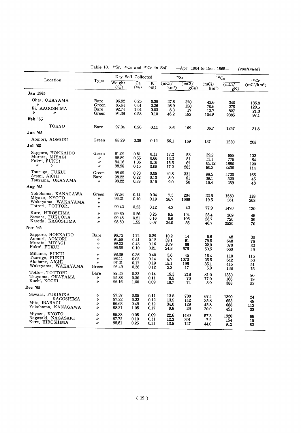|                                                                                |                                                             | Table 10. <sup>90</sup> Sr, <sup>137</sup> Cs and <sup>144</sup> Ce in Soil |                              |                              |                              | $-Apr.$ 1964 to Dec. 1965- |                                     |                            | (continued)                     |
|--------------------------------------------------------------------------------|-------------------------------------------------------------|-----------------------------------------------------------------------------|------------------------------|------------------------------|------------------------------|----------------------------|-------------------------------------|----------------------------|---------------------------------|
| Location                                                                       |                                                             | Dry Soil Collected                                                          |                              |                              |                              | 90Sr                       |                                     | $137C_S$                   |                                 |
|                                                                                | Type                                                        | Weight<br>$(\%)$                                                            | $\overline{ca}$<br>(%)       | K<br>$(\%)$                  | (mCi)<br>km <sup>2</sup>     | (mCi/<br>gCa               | (mCi/<br>$km^2$                     | (mCi)<br>gK)               | 144Ce<br>(mCi/km <sup>2</sup> ) |
| Jan 1965                                                                       |                                                             |                                                                             |                              |                              |                              |                            |                                     |                            |                                 |
| Ohta, OKAYAMA<br>n<br>Ei, KAGOSHIMA                                            | Bare<br>Green<br>Bare                                       | 96.92<br>85.64<br>92.74                                                     | 0.25<br>0.61<br>1.04         | 0.39<br>0.26<br>0.03         | 27.6<br>26.9<br>8.3          | 370<br>150<br>17           | 43.6<br>70.6<br>12.7                | 240<br>275<br>827          | 135.8<br>120.5<br>21.3          |
| n<br>$^{\prime\prime}$                                                         | Green                                                       | 94.38                                                                       | 0.58                         | 0.10                         | 46.2                         | 182                        | 104.8                               | 2385                       | 97.1                            |
| Feb '65                                                                        |                                                             |                                                                             |                              |                              |                              |                            |                                     |                            |                                 |
| TOKYO<br>Jun '65                                                               | Bare                                                        | 97.04                                                                       | 0.20                         | 0.11                         | 8.6                          | 169                        | 36.7                                | 1257                       | 31.8                            |
| Aomori, AOMORI                                                                 | Green                                                       | 88.29                                                                       | 0.39                         | 0.12                         | 56.1                         | 159                        |                                     |                            |                                 |
| Jul '65                                                                        |                                                             |                                                                             |                              |                              |                              |                            | 137                                 | 1230                       | 208                             |
| Sapporo, HOKKAIDO<br>Murata, MIYAGI<br>Fukui, FUKUI<br>11<br>$^{\prime\prime}$ | Green<br>$^{\prime\prime}$<br>$^{\prime\prime}$<br>$\prime$ | 91.09<br>98.89<br>94.16<br>98.98                                            | 0.81<br>0.55<br>1.06<br>0.15 | 0.11<br>0.66<br>0.16<br>0.05 | 17.2<br>13.2<br>15.5<br>17.2 | 53<br>81<br>67<br>283      | 39.2<br>13.1<br>65.12<br>90.3       | 888<br>775<br>1890<br>4430 | 102<br>64<br>120<br>114         |
| Tsuruga, FUKUI<br>Atsmi, AICHI<br>Tsuyama, OKAYAMA                             | Green<br>Bare<br>11                                         | 98.05<br>98.22<br>98.22                                                     | 0.23<br>0.22<br>0.39         | 0.08<br>0.13<br>0.15         | 20.8<br>8.0<br>9.0           | 331<br>61<br>50            | 98.5<br>39.1<br>16.4                | 4720<br>520<br>239         | 165<br>45<br>48                 |
| Aug '65                                                                        |                                                             |                                                                             |                              |                              |                              |                            |                                     |                            |                                 |
| Yokohama, KANAGAWA<br>Miyazu, KYOTO<br>Wakayama, WAKAYAMA                      | Green<br>n<br>11                                            | 97.54<br>96.21                                                              | 0.14<br>0.10                 | 0.04<br>0.19                 | 7.5<br>36.7                  | 204<br>1069                | 22.5<br>19.5                        | 1550<br>361                | 118<br>268                      |
| Tottori, TOTTORI                                                               | "                                                           | 99.42                                                                       | 0.23                         | 0.12                         | 4.2                          | 42                         | 77.9                                | 1470                       | 130                             |
| Kure, HIROSHIMA<br>Sawara, FUKUOKA<br>Kaseda, KAGOSHIMA                        | 11<br>n<br>n                                                | 99.60<br>99.48<br>98.50                                                     | 0.26<br>0.21<br>1.55         | 0.26<br>0.16<br>0.07         | 9.5<br>5.6<br>24.0           | 104<br>106<br>56           | 28.4<br>28.7<br>46.7                | 309<br>720<br>2530         | 45<br>39<br>70                  |
| Nov '65                                                                        |                                                             |                                                                             |                              |                              |                              |                            |                                     |                            |                                 |
| Sapporo, HOKKAIDO<br>Aomori, AOMORI<br>Murata, MIYAGI<br>Fukui, FUKUI          | Bare<br>$^{\prime\prime}$<br>$\prime$<br>"                  | 96.73<br>94.58<br>99.02<br>96.38                                            | 1.74<br>0.41<br>0.43<br>0.10 | 0.29<br>0.12<br>0.16<br>0.21 | 10.2<br>39.1<br>10.9<br>24.8 | 14<br>91<br>66<br>676      | 5.6<br>79.5<br>22.0<br>50.5         | 48<br>648<br>370<br>660    | 30<br>76<br>32<br>49            |
| Mihama, FUKUI<br>Tsuruga, FUKUI<br>Akabane, AICHI<br>Wakayama, WAKAYAMA        | 11<br>n<br>$^{\prime\prime}$<br>Green                       | 98.39<br>98.11<br>97.21<br>96.49                                            | 0.36<br>0.03<br>0.17<br>0.36 | 0.40<br>0.14<br>0.19<br>0.12 | 5.6<br>8.7<br>15.1<br>2.3    | 45<br>1070<br>196<br>17    | 15.4<br>25.5<br>35.1<br>6.0         | 110<br>642<br>415<br>138   | 115<br>50<br>51<br>15           |
| Tottori, TOTTORI<br>Tsuyama, OKAYAMA<br>Kochi, KOCHI                           | Bare<br>$^{\prime\prime}$<br>$^{\prime\prime}$              | 92.35<br>95.88<br>96.16                                                     | 0.22<br>0.30<br>1.00         | 0.14<br>0.11<br>0.09         | 19.3<br>8.5<br>18.7          | 218<br>70<br>74            | 81.0<br>77.0<br>8.9                 | 1380<br>166<br>388         | 90<br>19<br>52                  |
| Dec '65                                                                        |                                                             |                                                                             |                              |                              |                              |                            |                                     |                            |                                 |
| Sawara, FUKUOKA<br>KAGOSHIMA<br>Mito, IBARAGI<br>Yokohama, KANAGAWA            | n<br>$\prime$<br>11<br>11                                   | 97.37<br>97.22<br>96.63<br>98.21                                            | 0.05<br>0.22<br>0.49<br>1.05 | 0.11<br>0.12<br>0.12<br>0.17 | 13.8<br>13.5<br>34.0<br>9.8  | 700<br>142<br>129<br>26    | 67.4<br>35.8<br>45.8<br><b>20.0</b> | 1390<br>653<br>688<br>451  | 24<br>48<br>112<br>33           |
| Miyazu, KYOTO<br>Nagasaki, NAGASAKI<br>Kure, HIROSHIMA                         | $\prime$<br>$\prime$<br>11                                  | 95.83<br>97.72<br>98.81                                                     | 0.05<br>0.10<br>0.25         | 0.09<br>0.11<br>0.11         | 22.6<br>12.3<br>13.5         | 1480<br>301<br>127         | 57.3<br>7.2<br>44.0                 | 1920<br>154<br>912         | 66<br>15<br>82                  |